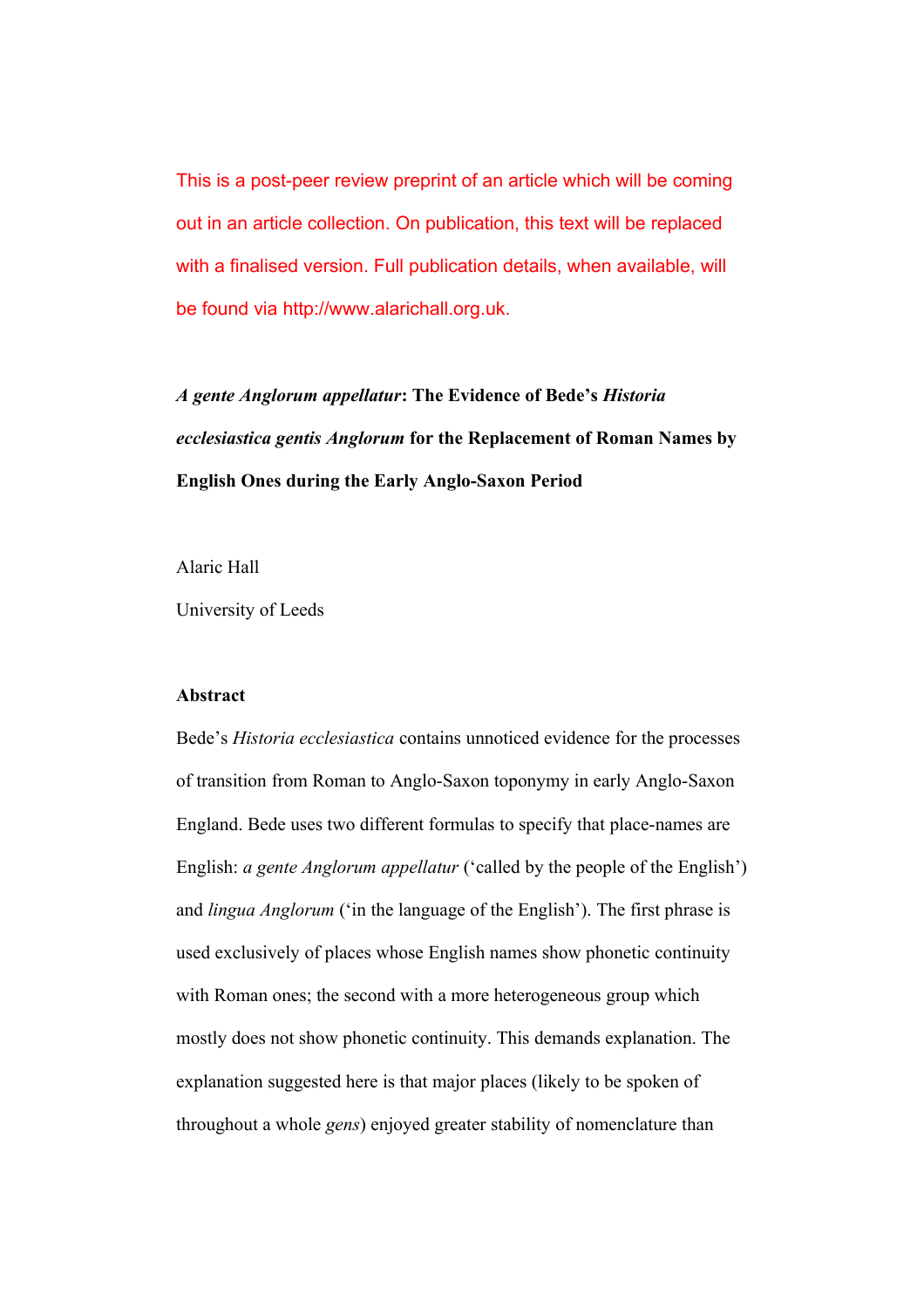This is a post-peer review preprint of an article which will be coming out in an article collection. On publication, this text will be replaced with a finalised version. Full publication details, when available, will be found via http://www.alarichall.org.uk.

*A gente Anglorum appellatur***: The Evidence of Bede's** *Historia ecclesiastica gentis Anglorum* **for the Replacement of Roman Names by English Ones during the Early Anglo-Saxon Period**

Alaric Hall

University of Leeds

## **Abstract**

Bede's *Historia ecclesiastica* contains unnoticed evidence for the processes of transition from Roman to Anglo-Saxon toponymy in early Anglo-Saxon England. Bede uses two different formulas to specify that place-names are English: *a gente Anglorum appellatur* ('called by the people of the English') and *lingua Anglorum* ('in the language of the English'). The first phrase is used exclusively of places whose English names show phonetic continuity with Roman ones; the second with a more heterogeneous group which mostly does not show phonetic continuity. This demands explanation. The explanation suggested here is that major places (likely to be spoken of throughout a whole *gens*) enjoyed greater stability of nomenclature than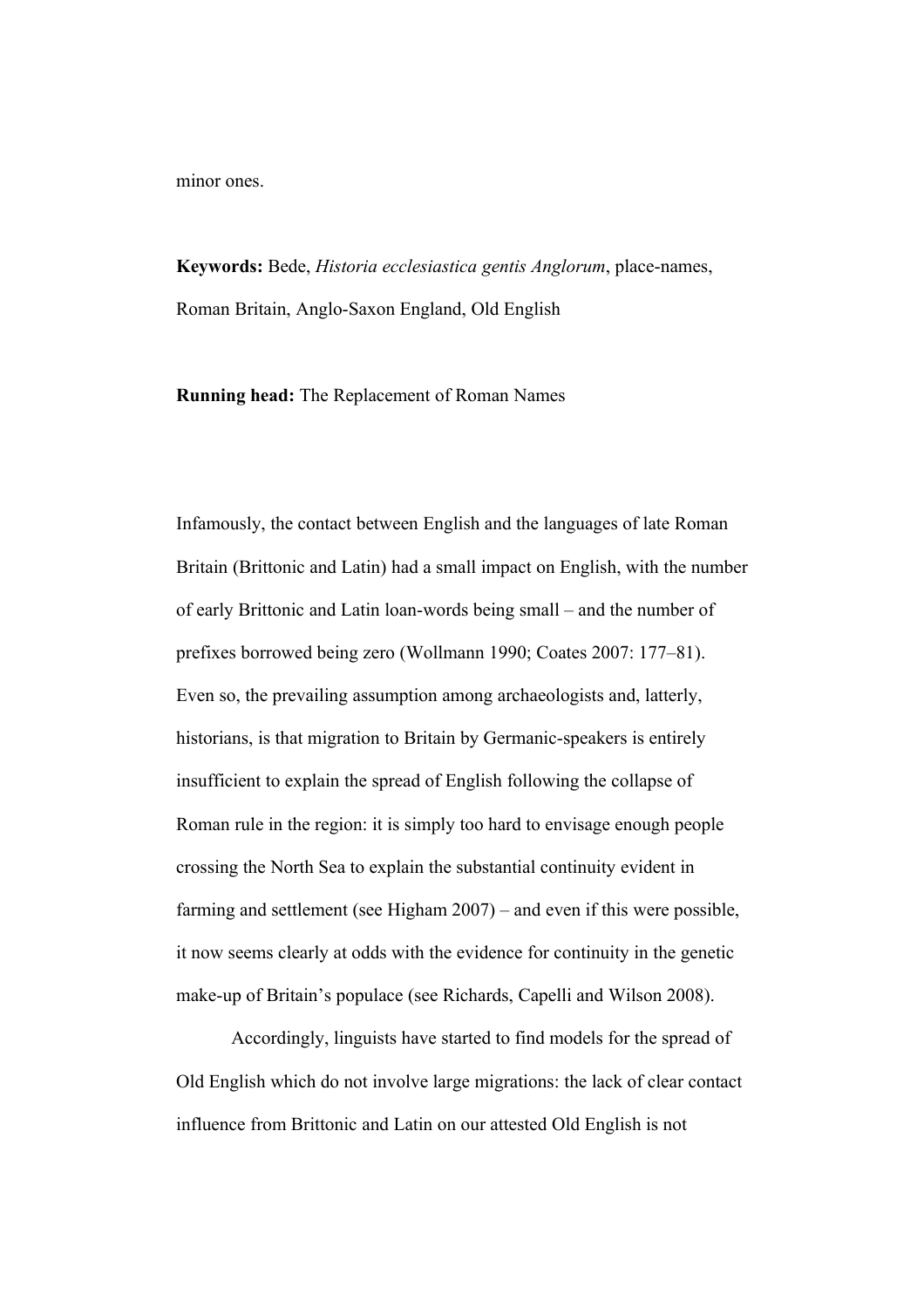minor ones.

**Keywords:** Bede, *Historia ecclesiastica gentis Anglorum*, place-names, Roman Britain, Anglo-Saxon England, Old English

**Running head:** The Replacement of Roman Names

Infamously, the contact between English and the languages of late Roman Britain (Brittonic and Latin) had a small impact on English, with the number of early Brittonic and Latin loan-words being small – and the number of prefixes borrowed being zero (Wollmann 1990; Coates 2007: 177–81). Even so, the prevailing assumption among archaeologists and, latterly, historians, is that migration to Britain by Germanic-speakers is entirely insufficient to explain the spread of English following the collapse of Roman rule in the region: it is simply too hard to envisage enough people crossing the North Sea to explain the substantial continuity evident in farming and settlement (see Higham 2007) – and even if this were possible, it now seems clearly at odds with the evidence for continuity in the genetic make-up of Britain's populace (see Richards, Capelli and Wilson 2008).

Accordingly, linguists have started to find models for the spread of Old English which do not involve large migrations: the lack of clear contact influence from Brittonic and Latin on our attested Old English is not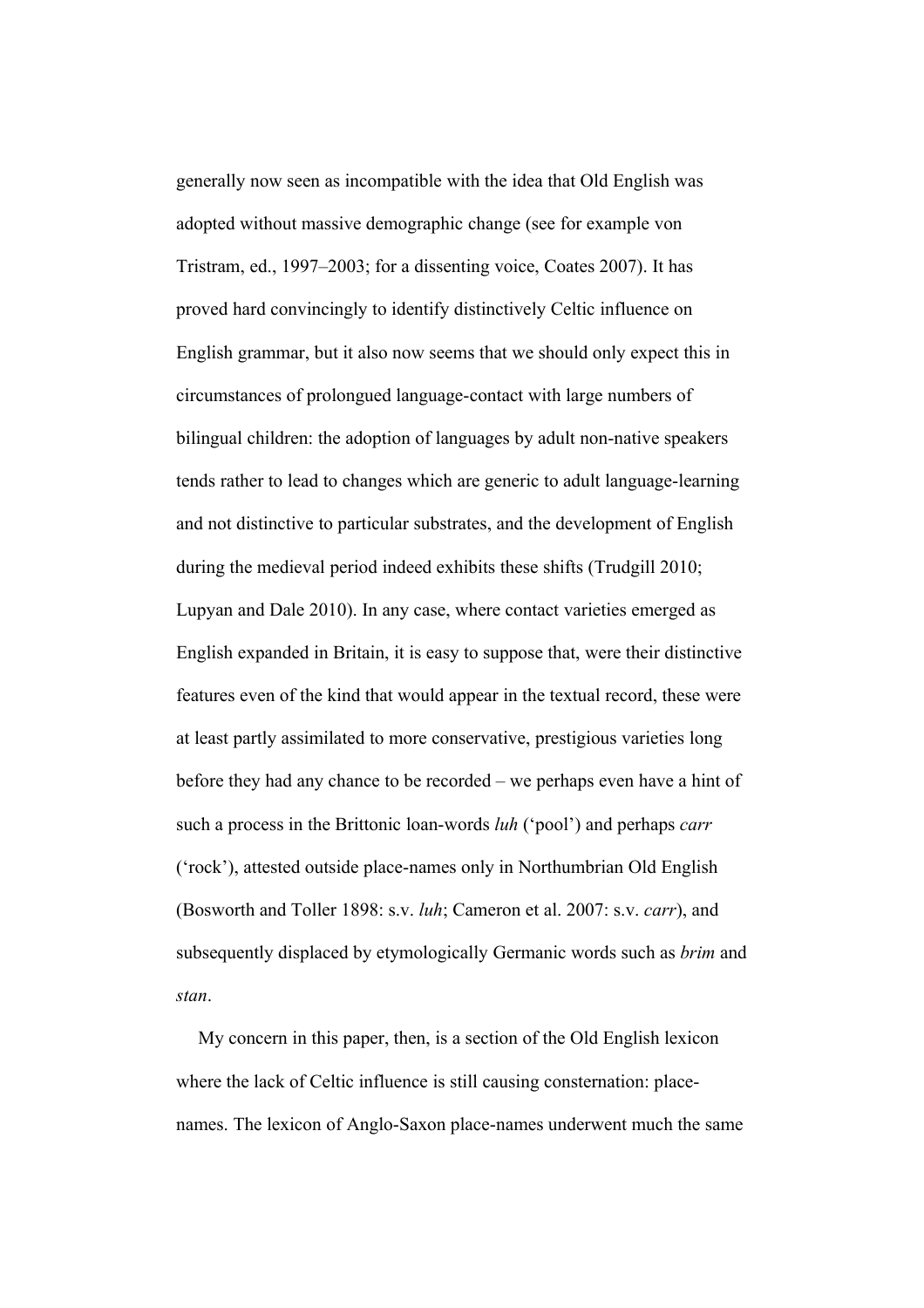generally now seen as incompatible with the idea that Old English was adopted without massive demographic change (see for example von Tristram, ed., 1997–2003; for a dissenting voice, Coates 2007). It has proved hard convincingly to identify distinctively Celtic influence on English grammar, but it also now seems that we should only expect this in circumstances of prolongued language-contact with large numbers of bilingual children: the adoption of languages by adult non-native speakers tends rather to lead to changes which are generic to adult language-learning and not distinctive to particular substrates, and the development of English during the medieval period indeed exhibits these shifts (Trudgill 2010; Lupyan and Dale 2010). In any case, where contact varieties emerged as English expanded in Britain, it is easy to suppose that, were their distinctive features even of the kind that would appear in the textual record, these were at least partly assimilated to more conservative, prestigious varieties long before they had any chance to be recorded – we perhaps even have a hint of such a process in the Brittonic loan-words *luh* ('pool') and perhaps *carr* ('rock'), attested outside place-names only in Northumbrian Old English (Bosworth and Toller 1898: s.v. *luh*; Cameron et al. 2007: s.v. *carr*), and subsequently displaced by etymologically Germanic words such as *brim* and *stan*.

My concern in this paper, then, is a section of the Old English lexicon where the lack of Celtic influence is still causing consternation: placenames. The lexicon of Anglo-Saxon place-names underwent much the same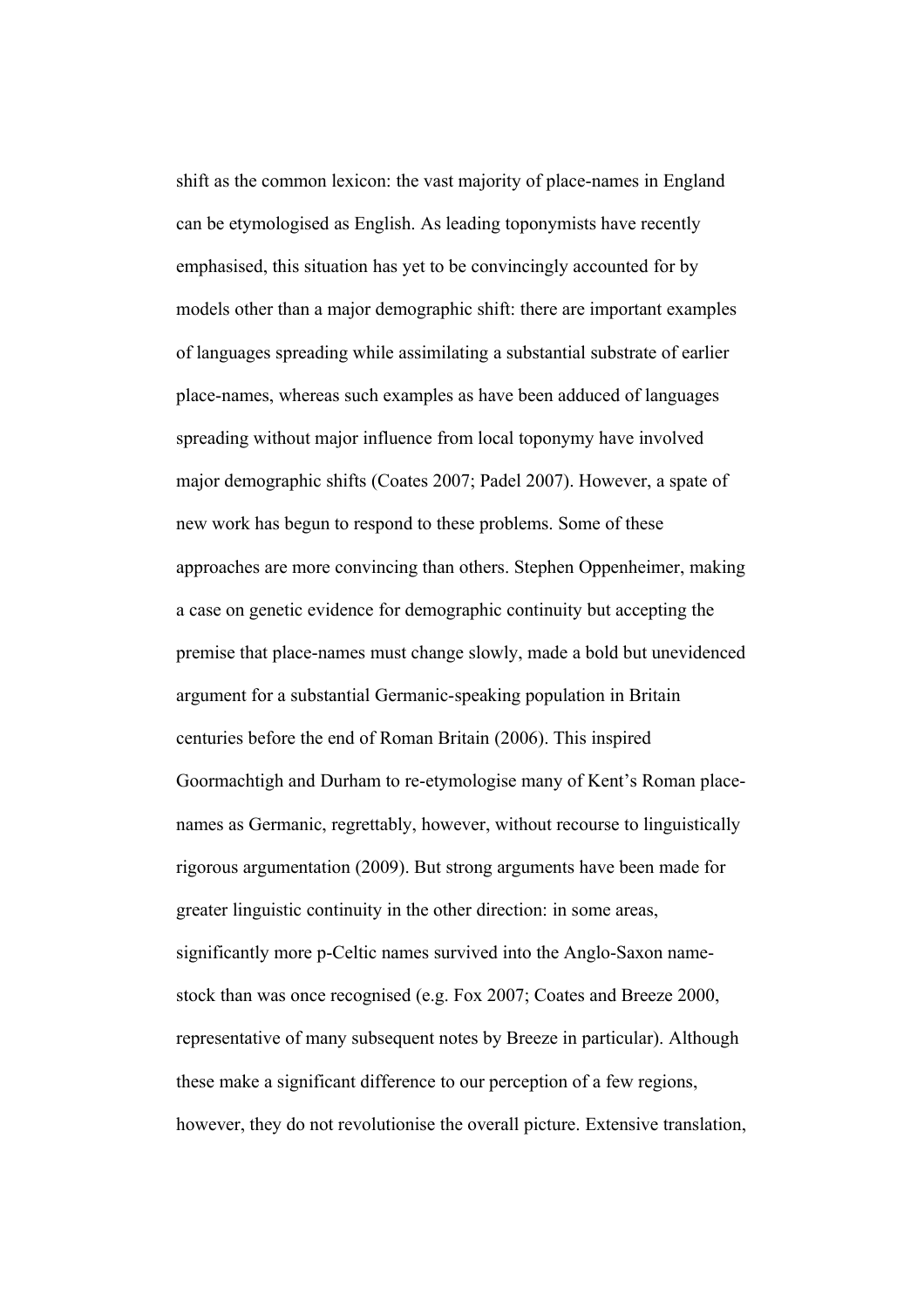shift as the common lexicon: the vast majority of place-names in England can be etymologised as English. As leading toponymists have recently emphasised, this situation has yet to be convincingly accounted for by models other than a major demographic shift: there are important examples of languages spreading while assimilating a substantial substrate of earlier place-names, whereas such examples as have been adduced of languages spreading without major influence from local toponymy have involved major demographic shifts (Coates 2007; Padel 2007). However, a spate of new work has begun to respond to these problems. Some of these approaches are more convincing than others. Stephen Oppenheimer, making a case on genetic evidence for demographic continuity but accepting the premise that place-names must change slowly, made a bold but unevidenced argument for a substantial Germanic-speaking population in Britain centuries before the end of Roman Britain (2006). This inspired Goormachtigh and Durham to re-etymologise many of Kent's Roman placenames as Germanic, regrettably, however, without recourse to linguistically rigorous argumentation (2009). But strong arguments have been made for greater linguistic continuity in the other direction: in some areas, significantly more p-Celtic names survived into the Anglo-Saxon namestock than was once recognised (e.g. Fox 2007; Coates and Breeze 2000, representative of many subsequent notes by Breeze in particular). Although these make a significant difference to our perception of a few regions, however, they do not revolutionise the overall picture. Extensive translation,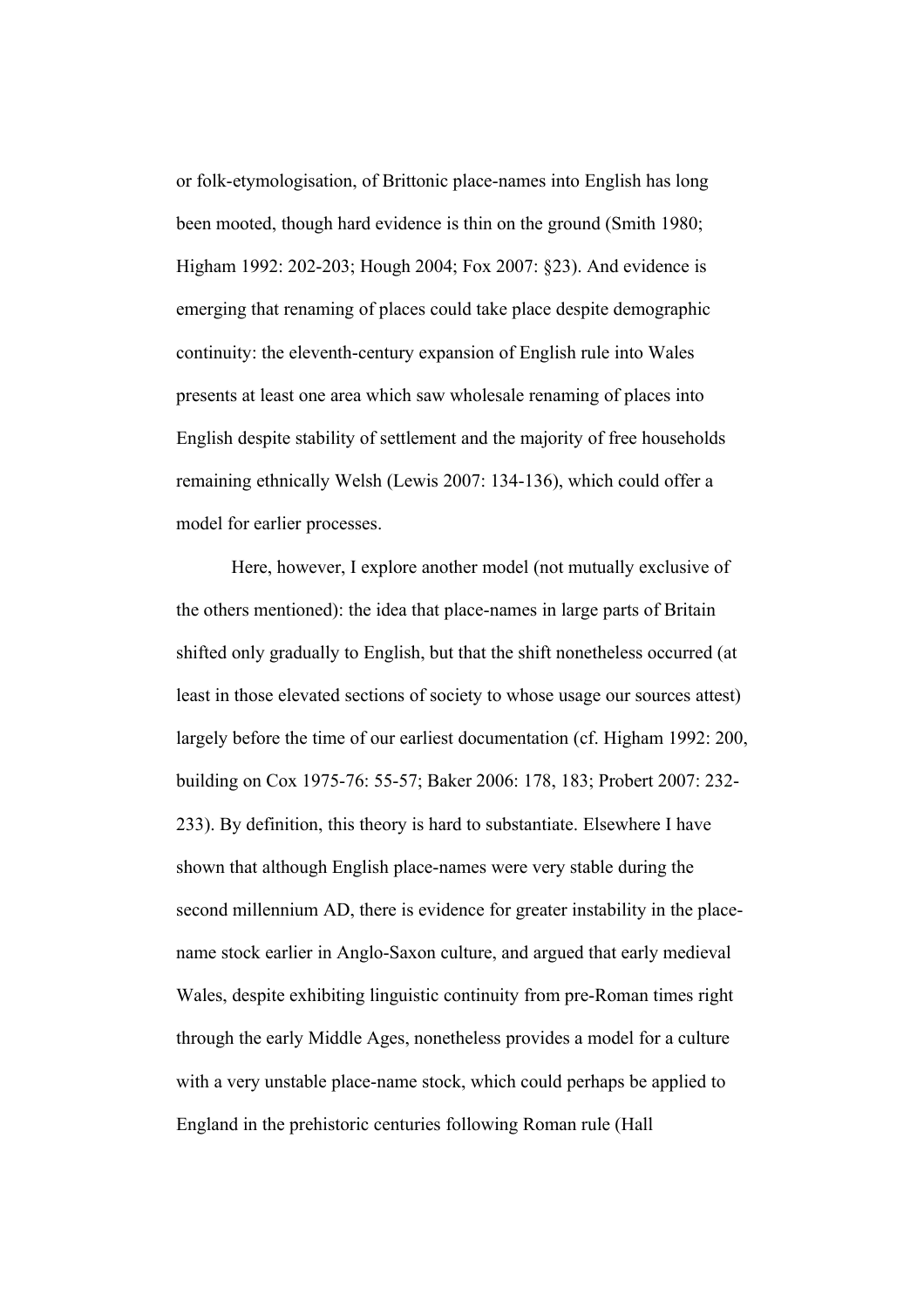or folk-etymologisation, of Brittonic place-names into English has long been mooted, though hard evidence is thin on the ground (Smith 1980; Higham 1992: 202-203; Hough 2004; Fox 2007: §23). And evidence is emerging that renaming of places could take place despite demographic continuity: the eleventh-century expansion of English rule into Wales presents at least one area which saw wholesale renaming of places into English despite stability of settlement and the majority of free households remaining ethnically Welsh (Lewis 2007: 134-136), which could offer a model for earlier processes.

Here, however, I explore another model (not mutually exclusive of the others mentioned): the idea that place-names in large parts of Britain shifted only gradually to English, but that the shift nonetheless occurred (at least in those elevated sections of society to whose usage our sources attest) largely before the time of our earliest documentation (cf. Higham 1992: 200, building on Cox 1975-76: 55-57; Baker 2006: 178, 183; Probert 2007: 232- 233). By definition, this theory is hard to substantiate. Elsewhere I have shown that although English place-names were very stable during the second millennium AD, there is evidence for greater instability in the placename stock earlier in Anglo-Saxon culture, and argued that early medieval Wales, despite exhibiting linguistic continuity from pre-Roman times right through the early Middle Ages, nonetheless provides a model for a culture with a very unstable place-name stock, which could perhaps be applied to England in the prehistoric centuries following Roman rule (Hall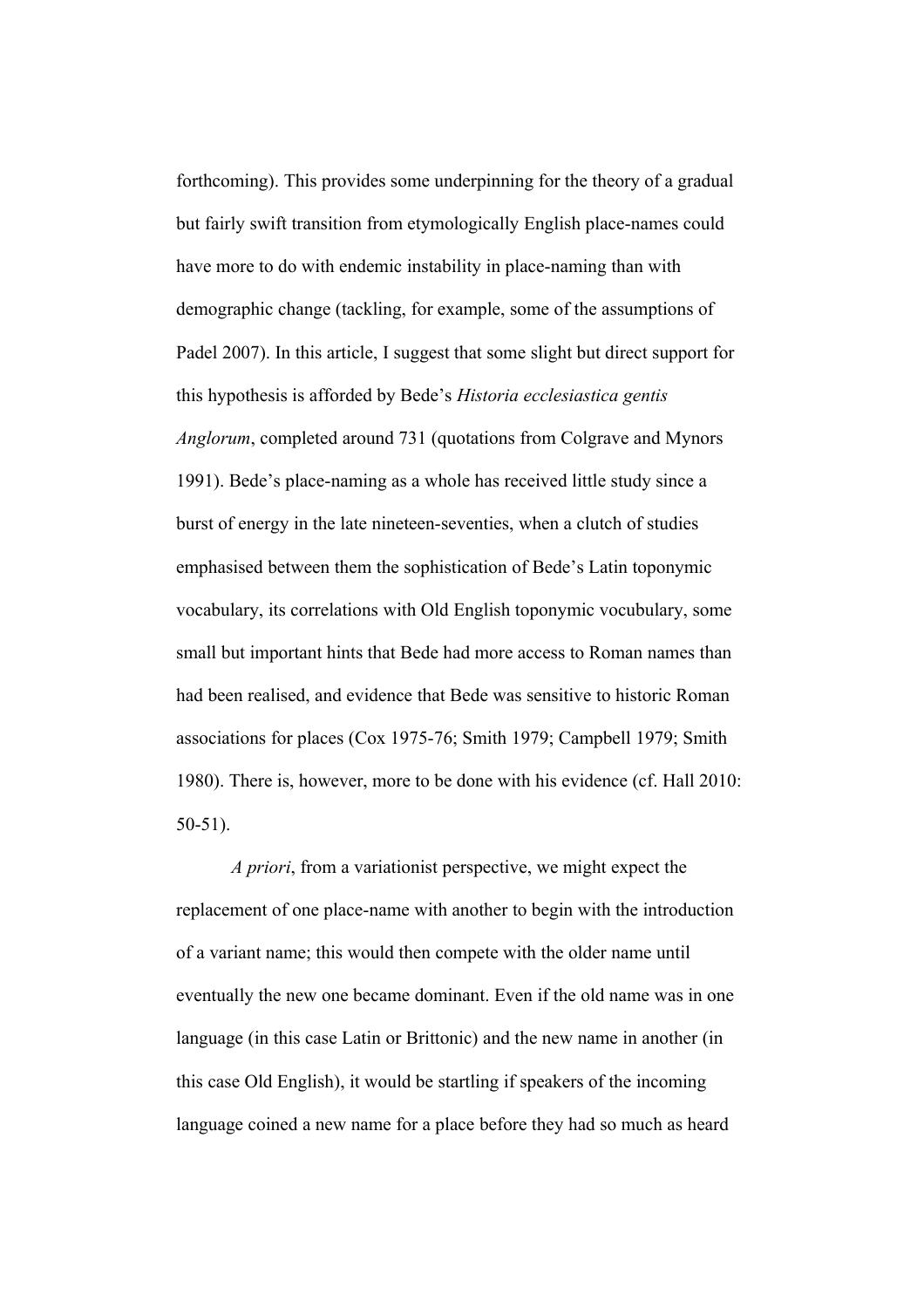forthcoming). This provides some underpinning for the theory of a gradual but fairly swift transition from etymologically English place-names could have more to do with endemic instability in place-naming than with demographic change (tackling, for example, some of the assumptions of Padel 2007). In this article, I suggest that some slight but direct support for this hypothesis is afforded by Bede's *Historia ecclesiastica gentis Anglorum*, completed around 731 (quotations from Colgrave and Mynors 1991). Bede's place-naming as a whole has received little study since a burst of energy in the late nineteen-seventies, when a clutch of studies emphasised between them the sophistication of Bede's Latin toponymic vocabulary, its correlations with Old English toponymic vocubulary, some small but important hints that Bede had more access to Roman names than had been realised, and evidence that Bede was sensitive to historic Roman associations for places (Cox 1975-76; Smith 1979; Campbell 1979; Smith 1980). There is, however, more to be done with his evidence (cf. Hall 2010: 50-51).

*A priori*, from a variationist perspective, we might expect the replacement of one place-name with another to begin with the introduction of a variant name; this would then compete with the older name until eventually the new one became dominant. Even if the old name was in one language (in this case Latin or Brittonic) and the new name in another (in this case Old English), it would be startling if speakers of the incoming language coined a new name for a place before they had so much as heard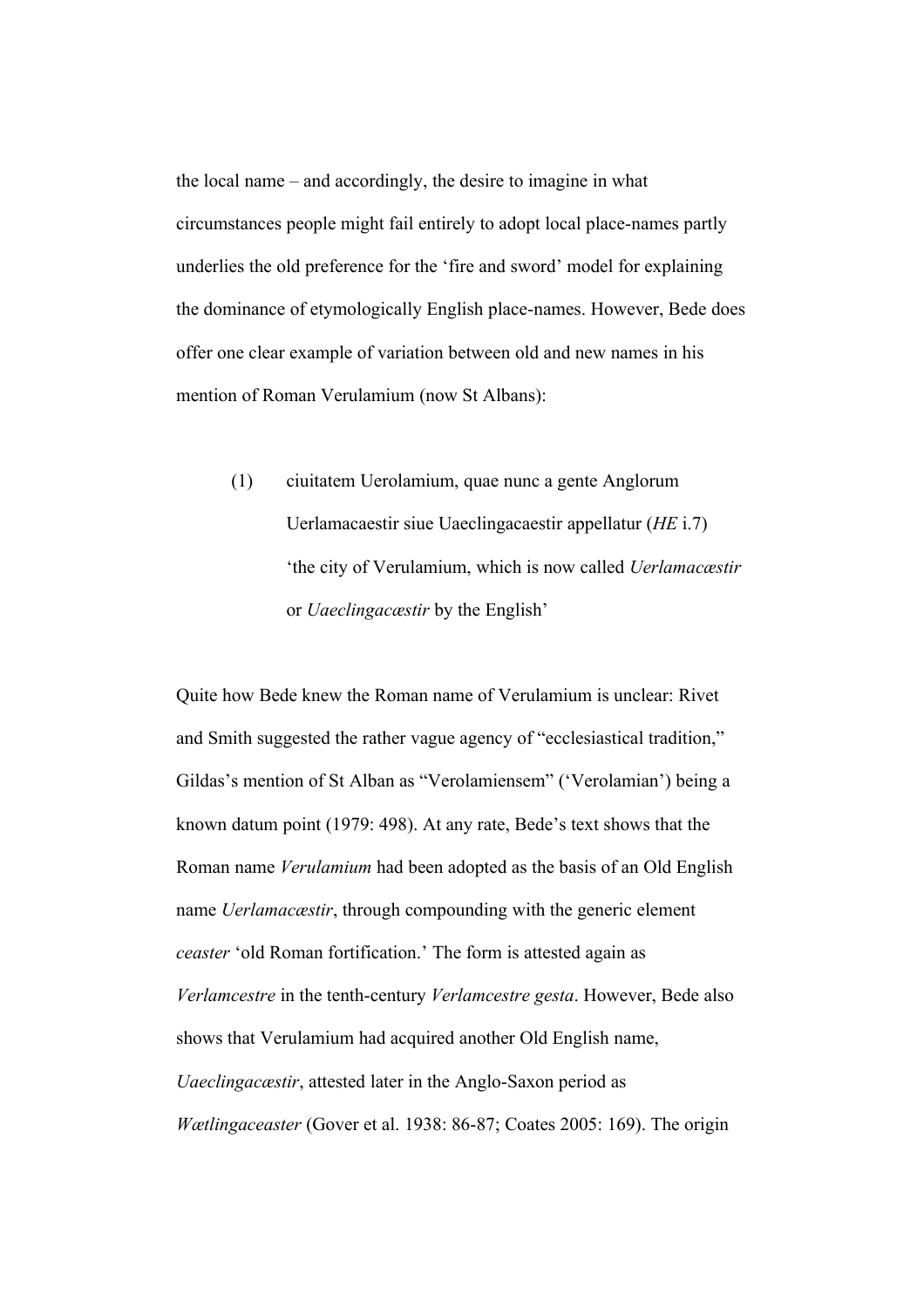the local name – and accordingly, the desire to imagine in what circumstances people might fail entirely to adopt local place-names partly underlies the old preference for the 'fire and sword' model for explaining the dominance of etymologically English place-names. However, Bede does offer one clear example of variation between old and new names in his mention of Roman Verulamium (now St Albans):

(1) ciuitatem Uerolamium, quae nunc a gente Anglorum Uerlamacaestir siue Uaeclingacaestir appellatur (*HE* i.7) 'the city of Verulamium, which is now called *Uerlamacæstir* or *Uaeclingacæstir* by the English'

Quite how Bede knew the Roman name of Verulamium is unclear: Rivet and Smith suggested the rather vague agency of "ecclesiastical tradition," Gildas's mention of St Alban as "Verolamiensem" ('Verolamian') being a known datum point (1979: 498). At any rate, Bede's text shows that the Roman name *Verulamium* had been adopted as the basis of an Old English name *Uerlamacæstir*, through compounding with the generic element *ceaster* 'old Roman fortification.' The form is attested again as *Verlamcestre* in the tenth-century *Verlamcestre gesta*. However, Bede also shows that Verulamium had acquired another Old English name, *Uaeclingacæstir*, attested later in the Anglo-Saxon period as *Wætlingaceaster* (Gover et al. 1938: 86-87; Coates 2005: 169). The origin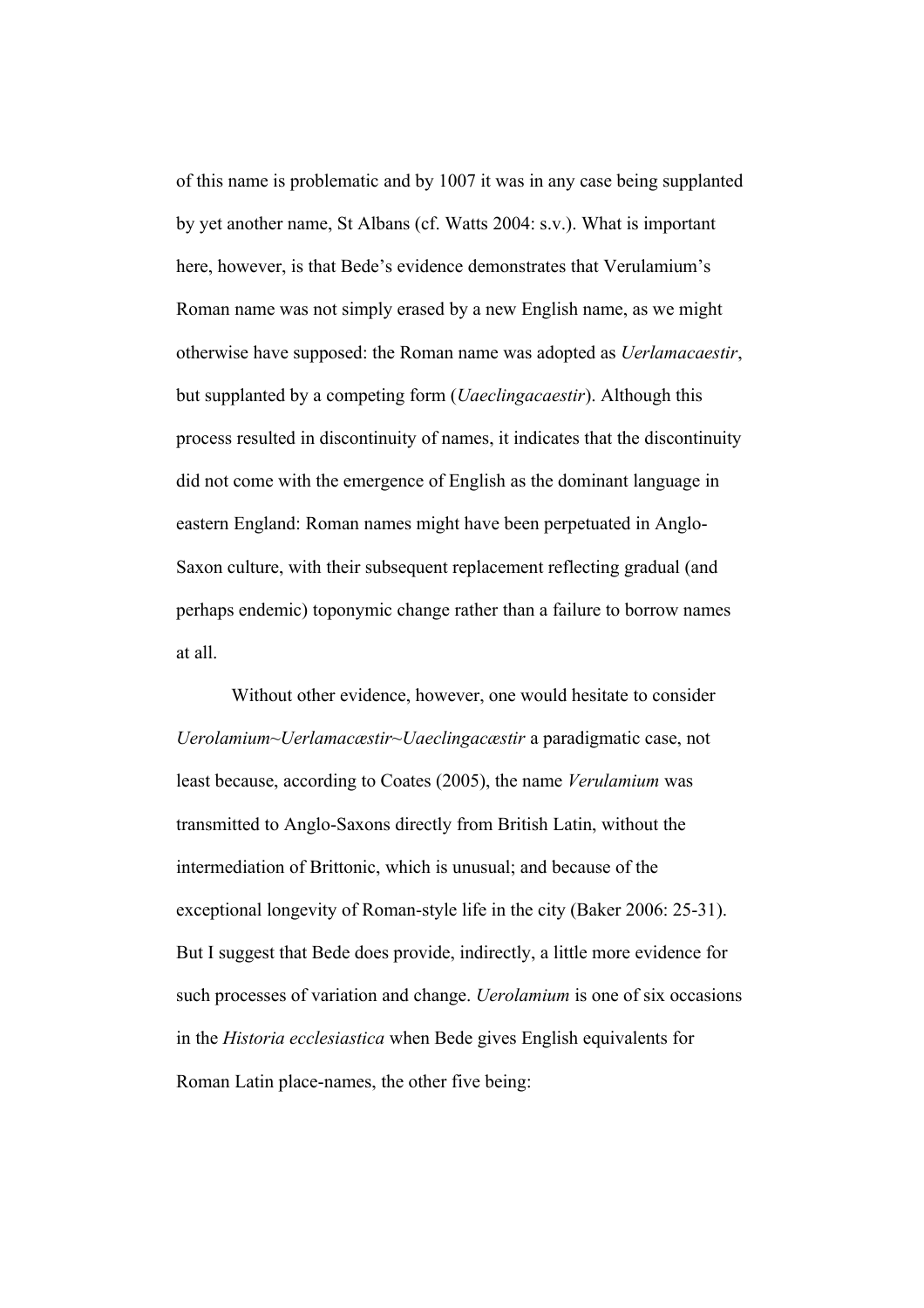of this name is problematic and by 1007 it was in any case being supplanted by yet another name, St Albans (cf. Watts 2004: s.v.). What is important here, however, is that Bede's evidence demonstrates that Verulamium's Roman name was not simply erased by a new English name, as we might otherwise have supposed: the Roman name was adopted as *Uerlamacaestir*, but supplanted by a competing form (*Uaeclingacaestir*). Although this process resulted in discontinuity of names, it indicates that the discontinuity did not come with the emergence of English as the dominant language in eastern England: Roman names might have been perpetuated in Anglo-Saxon culture, with their subsequent replacement reflecting gradual (and perhaps endemic) toponymic change rather than a failure to borrow names at all.

Without other evidence, however, one would hesitate to consider *Uerolamium~Uerlamacæstir~Uaeclingacæstir* a paradigmatic case, not least because, according to Coates (2005), the name *Verulamium* was transmitted to Anglo-Saxons directly from British Latin, without the intermediation of Brittonic, which is unusual; and because of the exceptional longevity of Roman-style life in the city (Baker 2006: 25-31). But I suggest that Bede does provide, indirectly, a little more evidence for such processes of variation and change. *Uerolamium* is one of six occasions in the *Historia ecclesiastica* when Bede gives English equivalents for Roman Latin place-names, the other five being: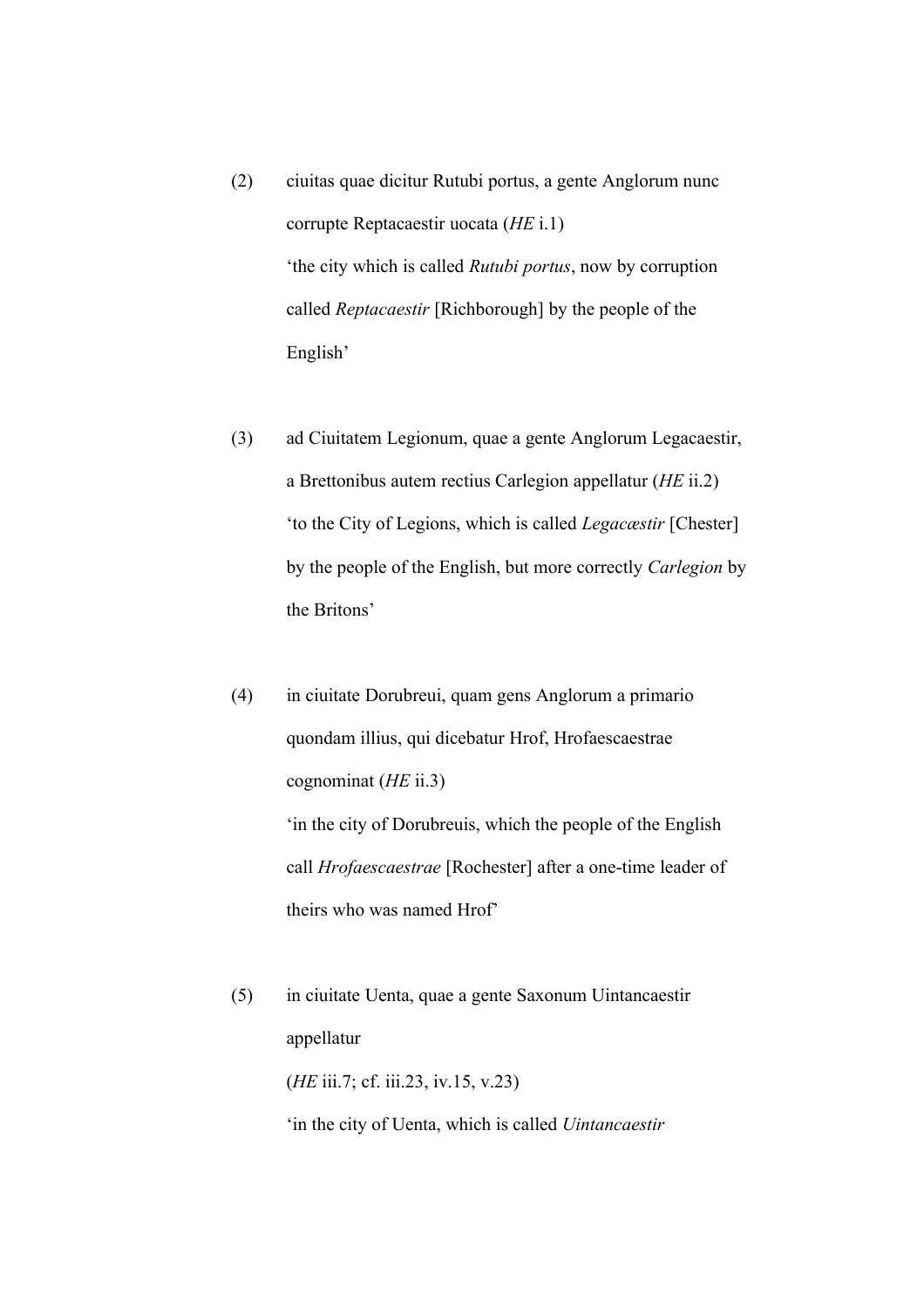- (2) ciuitas quae dicitur Rutubi portus, a gente Anglorum nunc corrupte Reptacaestir uocata (*HE* i.1) 'the city which is called *Rutubi portus*, now by corruption called *Reptacaestir* [Richborough] by the people of the English'
- (3) ad Ciuitatem Legionum, quae a gente Anglorum Legacaestir, a Brettonibus autem rectius Carlegion appellatur (*HE* ii.2) 'to the City of Legions, which is called *Legacæstir* [Chester] by the people of the English, but more correctly *Carlegion* by the Britons'
- (4) in ciuitate Dorubreui, quam gens Anglorum a primario quondam illius, qui dicebatur Hrof, Hrofaescaestrae cognominat (*HE* ii.3) 'in the city of Dorubreuis, which the people of the English call *Hrofaescaestrae* [Rochester] after a one-time leader of theirs who was named Hrof'
- (5) in ciuitate Uenta, quae a gente Saxonum Uintancaestir appellatur (*HE* iii.7; cf. iii.23, iv.15, v.23) 'in the city of Uenta, which is called *Uintancaestir*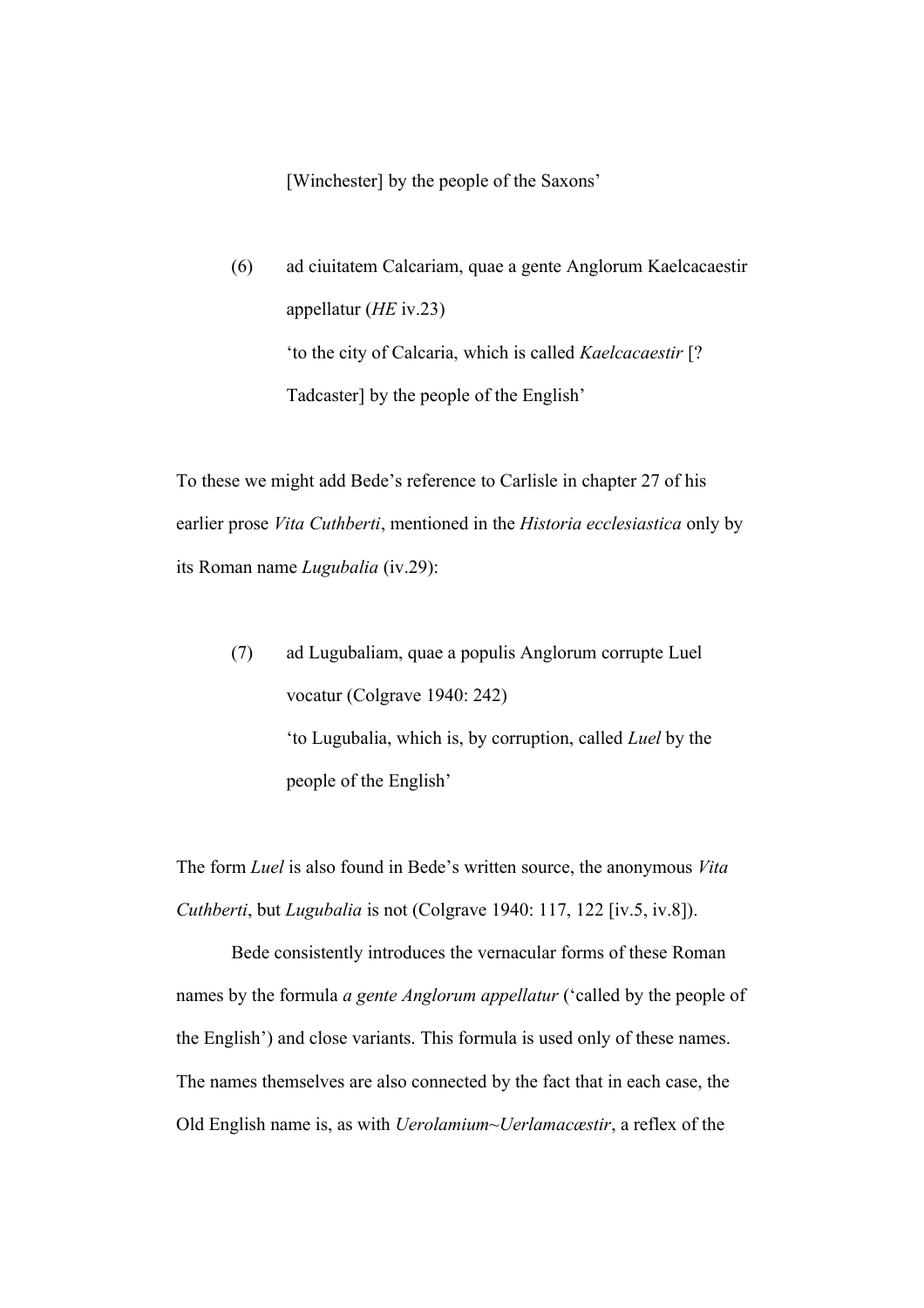[Winchester] by the people of the Saxons'

(6) ad ciuitatem Calcariam, quae a gente Anglorum Kaelcacaestir appellatur (*HE* iv.23) 'to the city of Calcaria, which is called *Kaelcacaestir* [? Tadcaster] by the people of the English'

To these we might add Bede's reference to Carlisle in chapter 27 of his earlier prose *Vita Cuthberti*, mentioned in the *Historia ecclesiastica* only by its Roman name *Lugubalia* (iv.29):

(7) ad Lugubaliam, quae a populis Anglorum corrupte Luel vocatur (Colgrave 1940: 242) 'to Lugubalia, which is, by corruption, called *Luel* by the people of the English'

The form *Luel* is also found in Bede's written source, the anonymous *Vita Cuthberti*, but *Lugubalia* is not (Colgrave 1940: 117, 122 [iv.5, iv.8]).

Bede consistently introduces the vernacular forms of these Roman names by the formula *a gente Anglorum appellatur* ('called by the people of the English') and close variants. This formula is used only of these names. The names themselves are also connected by the fact that in each case, the Old English name is, as with *Uerolamium~Uerlamacæstir*, a reflex of the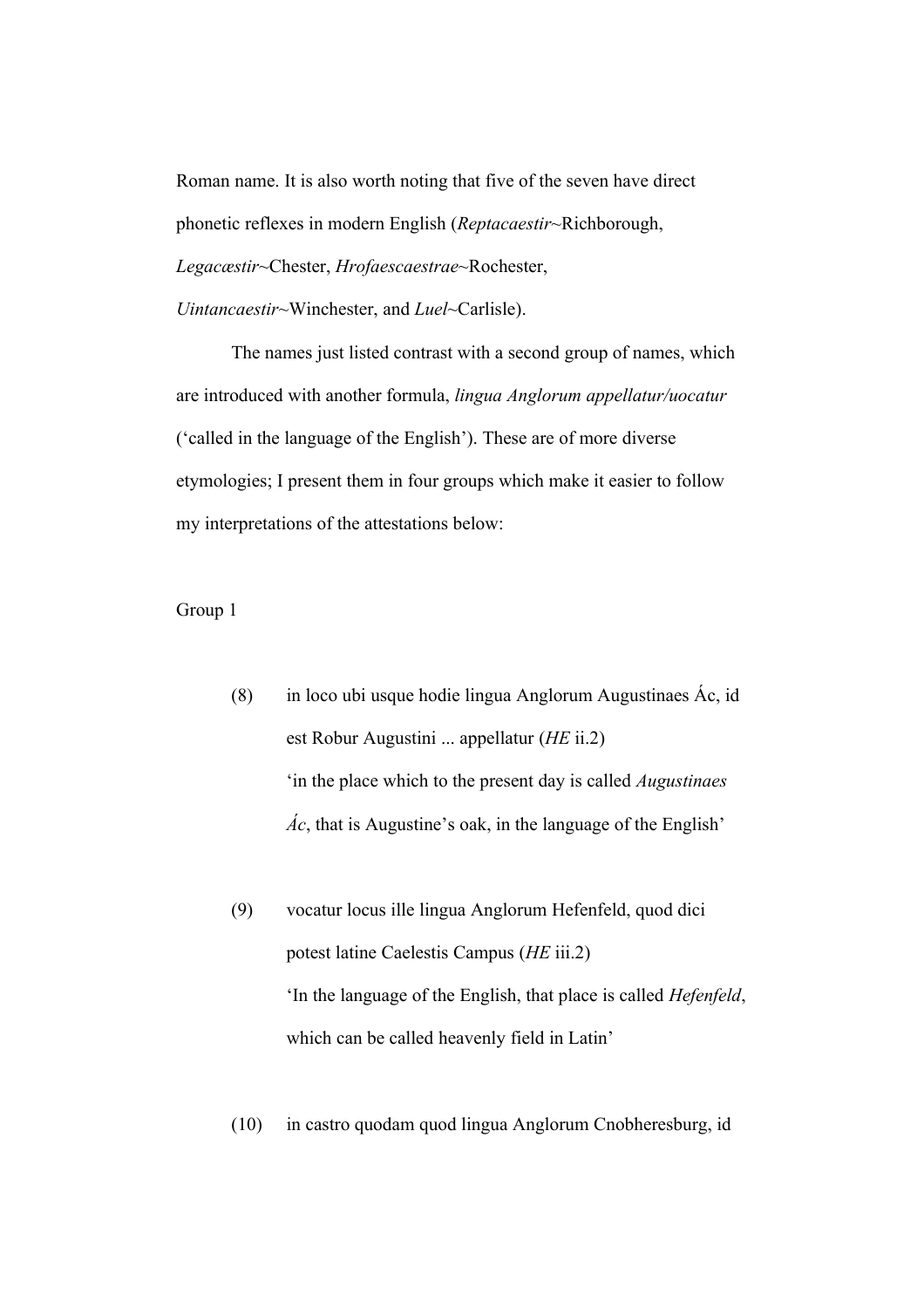Roman name. It is also worth noting that five of the seven have direct phonetic reflexes in modern English (*Reptacaestir*~Richborough, *Legacæstir*~Chester, *Hrofaescaestrae*~Rochester,

*Uintancaestir*~Winchester, and *Luel*~Carlisle).

The names just listed contrast with a second group of names, which are introduced with another formula, *lingua Anglorum appellatur/uocatur* ('called in the language of the English'). These are of more diverse etymologies; I present them in four groups which make it easier to follow my interpretations of the attestations below:

Group 1

- (8) in loco ubi usque hodie lingua Anglorum Augustinaes Ác, id est Robur Augustini ... appellatur (*HE* ii.2) 'in the place which to the present day is called *Augustinaes Ác*, that is Augustine's oak, in the language of the English'
- (9) vocatur locus ille lingua Anglorum Hefenfeld, quod dici potest latine Caelestis Campus (*HE* iii.2) 'In the language of the English, that place is called *Hefenfeld*, which can be called heavenly field in Latin'
- (10) in castro quodam quod lingua Anglorum Cnobheresburg, id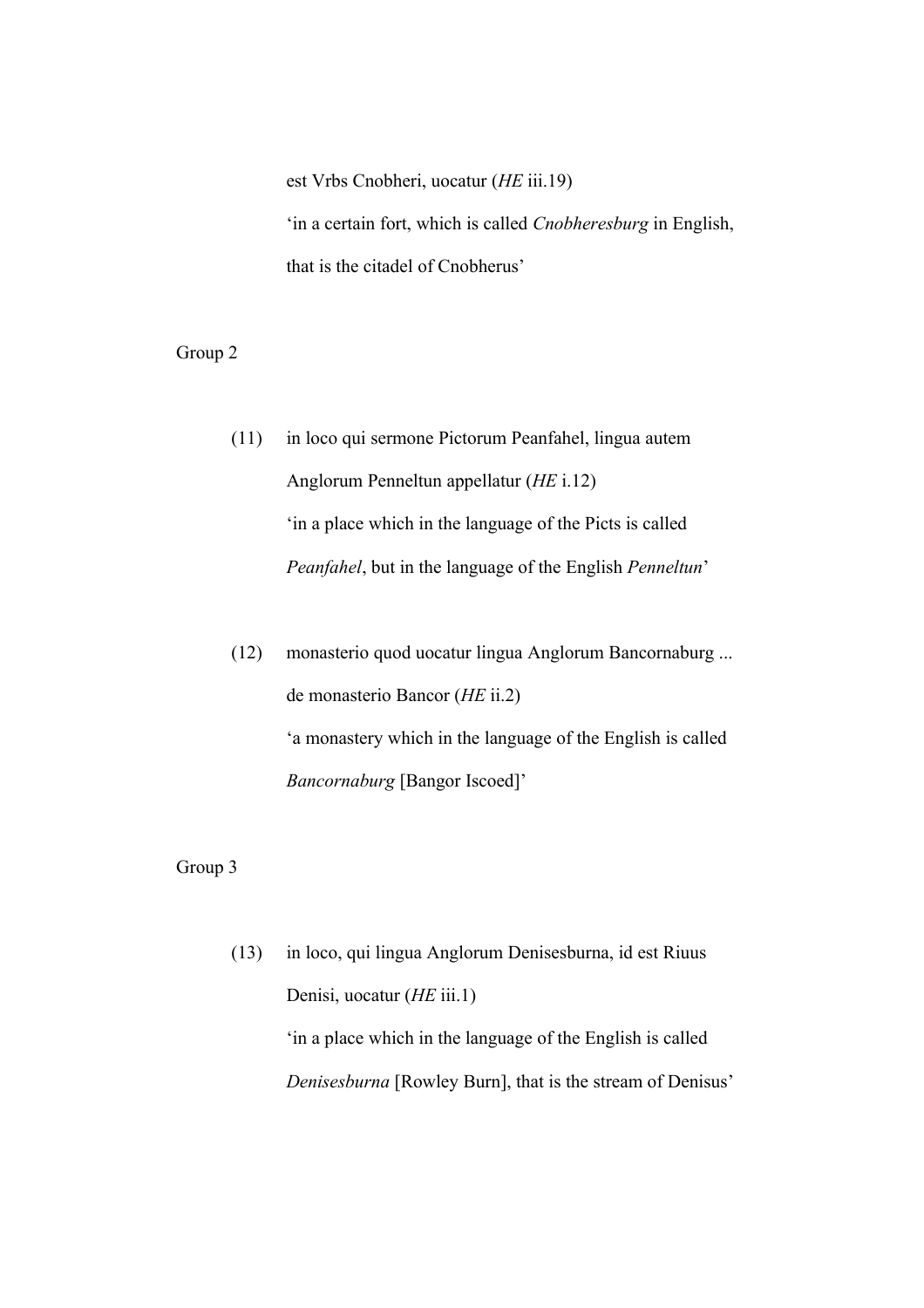est Vrbs Cnobheri, uocatur (*HE* iii.19) 'in a certain fort, which is called *Cnobheresburg* in English, that is the citadel of Cnobherus'

Group 2

- (11) in loco qui sermone Pictorum Peanfahel, lingua autem Anglorum Penneltun appellatur (*HE* i.12) 'in a place which in the language of the Picts is called *Peanfahel*, but in the language of the English *Penneltun*'
- (12) monasterio quod uocatur lingua Anglorum Bancornaburg ... de monasterio Bancor (*HE* ii.2) 'a monastery which in the language of the English is called *Bancornaburg* [Bangor Iscoed]'

Group 3

(13) in loco, qui lingua Anglorum Denisesburna, id est Riuus Denisi, uocatur (*HE* iii.1) 'in a place which in the language of the English is called *Denisesburna* [Rowley Burn], that is the stream of Denisus'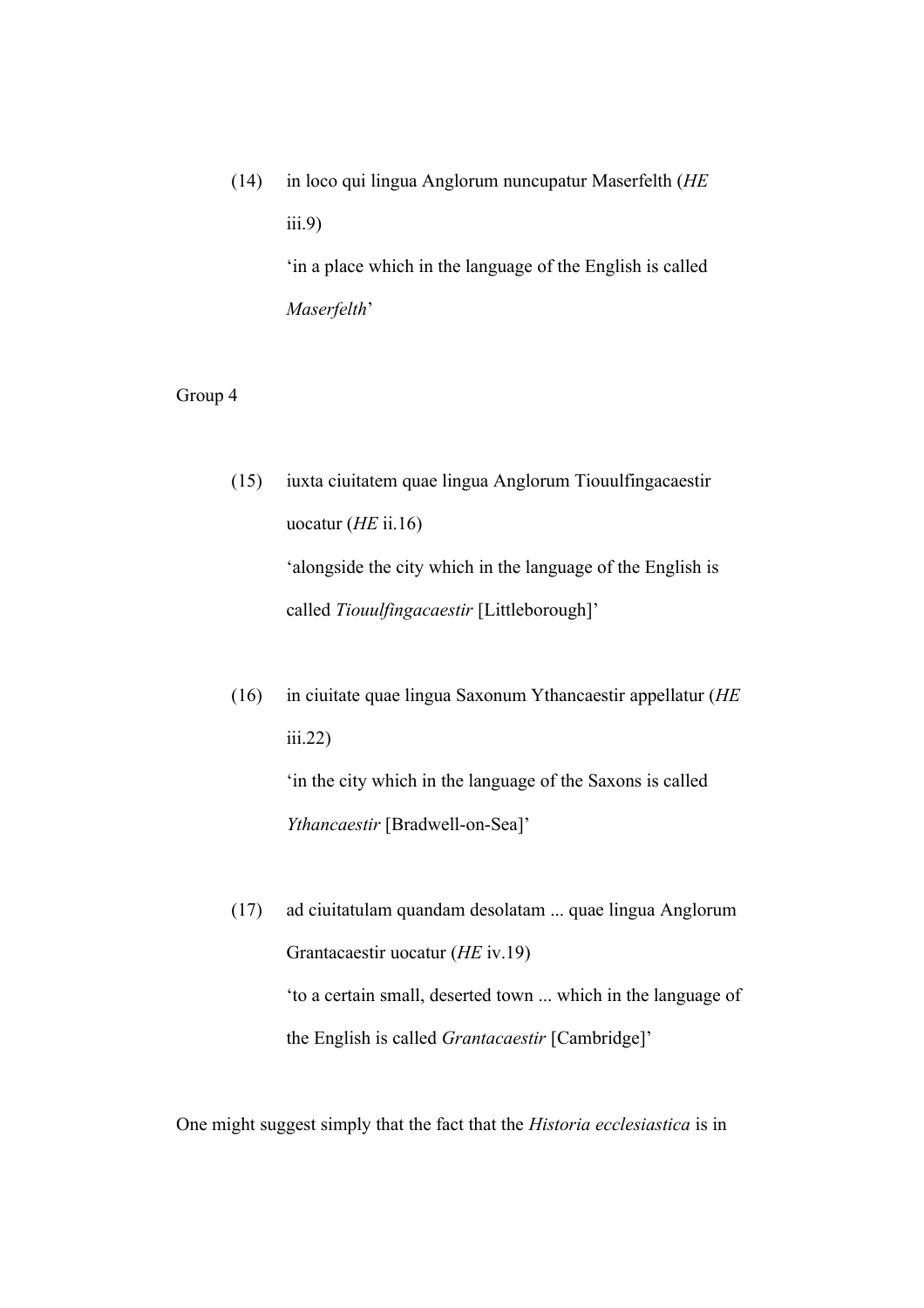(14) in loco qui lingua Anglorum nuncupatur Maserfelth (*HE* iii.9) 'in a place which in the language of the English is called *Maserfelth*'

## Group 4

- (15) iuxta ciuitatem quae lingua Anglorum Tiouulfingacaestir uocatur (*HE* ii.16) 'alongside the city which in the language of the English is called *Tiouulfingacaestir* [Littleborough]'
- (16) in ciuitate quae lingua Saxonum Ythancaestir appellatur (*HE* iii.22) 'in the city which in the language of the Saxons is called *Ythancaestir* [Bradwell-on-Sea]'
- (17) ad ciuitatulam quandam desolatam ... quae lingua Anglorum Grantacaestir uocatur (*HE* iv.19) 'to a certain small, deserted town ... which in the language of the English is called *Grantacaestir* [Cambridge]'

One might suggest simply that the fact that the *Historia ecclesiastica* is in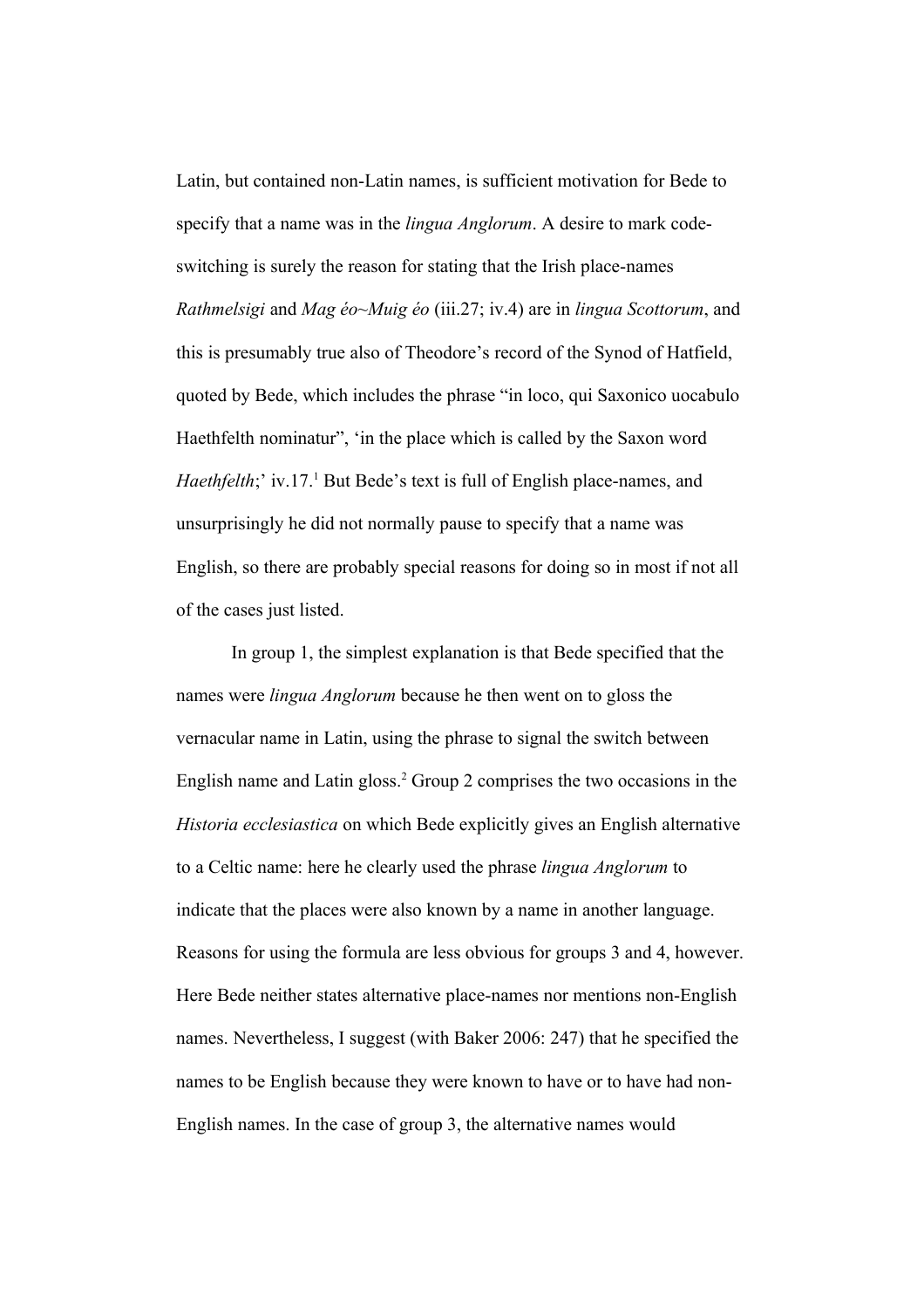Latin, but contained non-Latin names, is sufficient motivation for Bede to specify that a name was in the *lingua Anglorum*. A desire to mark codeswitching is surely the reason for stating that the Irish place-names *Rathmelsigi* and *Mag éo~Muig éo* (iii.27; iv.4) are in *lingua Scottorum*, and this is presumably true also of Theodore's record of the Synod of Hatfield, quoted by Bede, which includes the phrase "in loco, qui Saxonico uocabulo Haethfelth nominatur", 'in the place which is called by the Saxon word Haethfelth;' iv.[1](#page-25-0)7.<sup>1</sup> But Bede's text is full of English place-names, and unsurprisingly he did not normally pause to specify that a name was English, so there are probably special reasons for doing so in most if not all of the cases just listed.

In group 1, the simplest explanation is that Bede specified that the names were *lingua Anglorum* because he then went on to gloss the vernacular name in Latin, using the phrase to signal the switch between English name and Latin gloss.<sup>[2](#page-25-1)</sup> Group 2 comprises the two occasions in the *Historia ecclesiastica* on which Bede explicitly gives an English alternative to a Celtic name: here he clearly used the phrase *lingua Anglorum* to indicate that the places were also known by a name in another language. Reasons for using the formula are less obvious for groups 3 and 4, however. Here Bede neither states alternative place-names nor mentions non-English names. Nevertheless, I suggest (with Baker 2006: 247) that he specified the names to be English because they were known to have or to have had non-English names. In the case of group 3, the alternative names would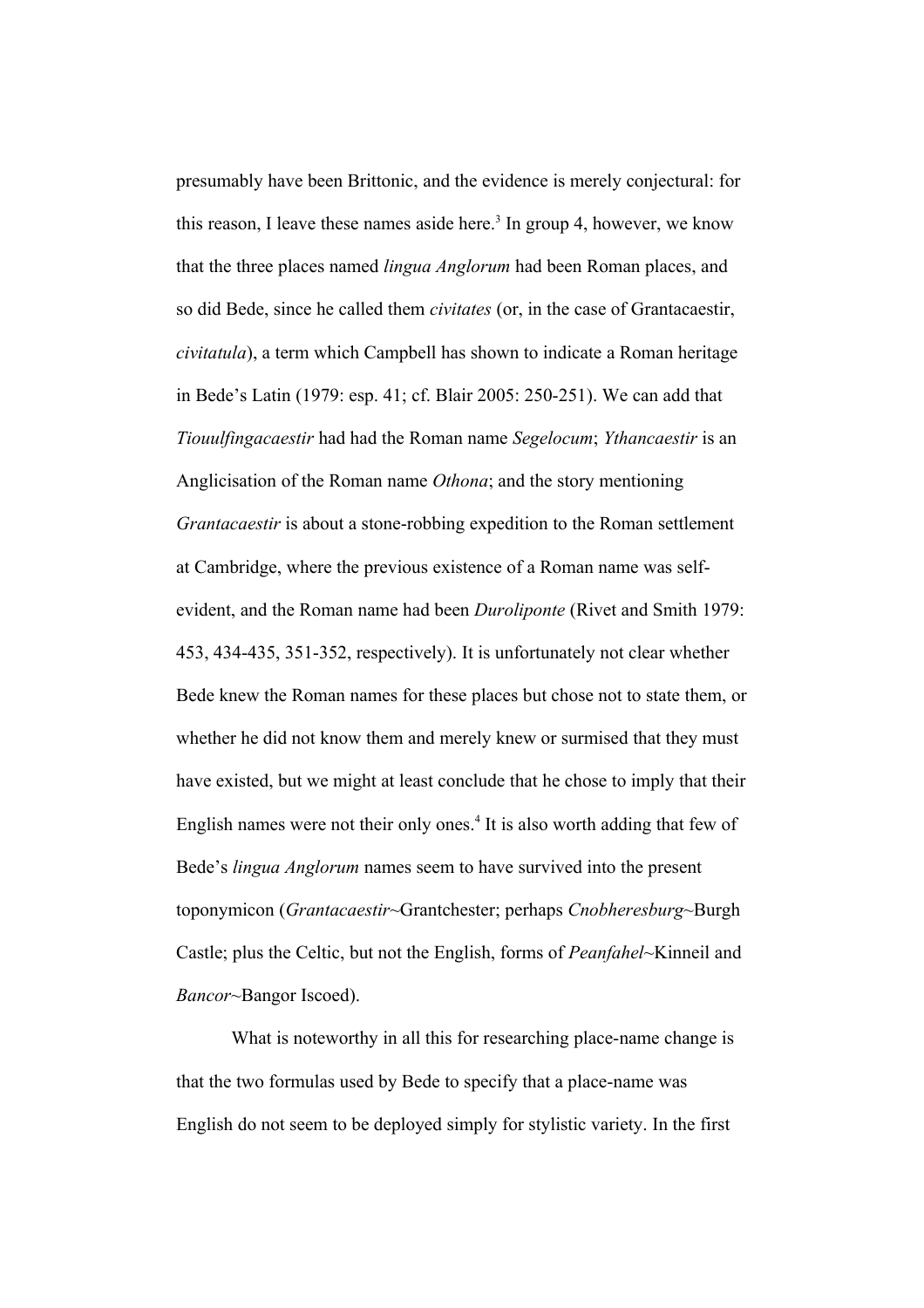presumably have been Brittonic, and the evidence is merely conjectural: for this reason, I leave these names aside here.<sup>[3](#page-25-2)</sup> In group 4, however, we know that the three places named *lingua Anglorum* had been Roman places, and so did Bede, since he called them *civitates* (or, in the case of Grantacaestir, *civitatula*), a term which Campbell has shown to indicate a Roman heritage in Bede's Latin (1979: esp. 41; cf. Blair 2005: 250-251). We can add that *Tiouulfingacaestir* had had the Roman name *Segelocum*; *Ythancaestir* is an Anglicisation of the Roman name *Othona*; and the story mentioning *Grantacaestir* is about a stone-robbing expedition to the Roman settlement at Cambridge, where the previous existence of a Roman name was selfevident, and the Roman name had been *Duroliponte* (Rivet and Smith 1979: 453, 434-435, 351-352, respectively). It is unfortunately not clear whether Bede knew the Roman names for these places but chose not to state them, or whether he did not know them and merely knew or surmised that they must have existed, but we might at least conclude that he chose to imply that their English names were not their only ones.<sup>[4](#page-25-3)</sup> It is also worth adding that few of Bede's *lingua Anglorum* names seem to have survived into the present toponymicon (*Grantacaestir*~Grantchester; perhaps *Cnobheresburg*~Burgh Castle; plus the Celtic, but not the English, forms of *Peanfahel*~Kinneil and *Bancor*~Bangor Iscoed).

What is noteworthy in all this for researching place-name change is that the two formulas used by Bede to specify that a place-name was English do not seem to be deployed simply for stylistic variety. In the first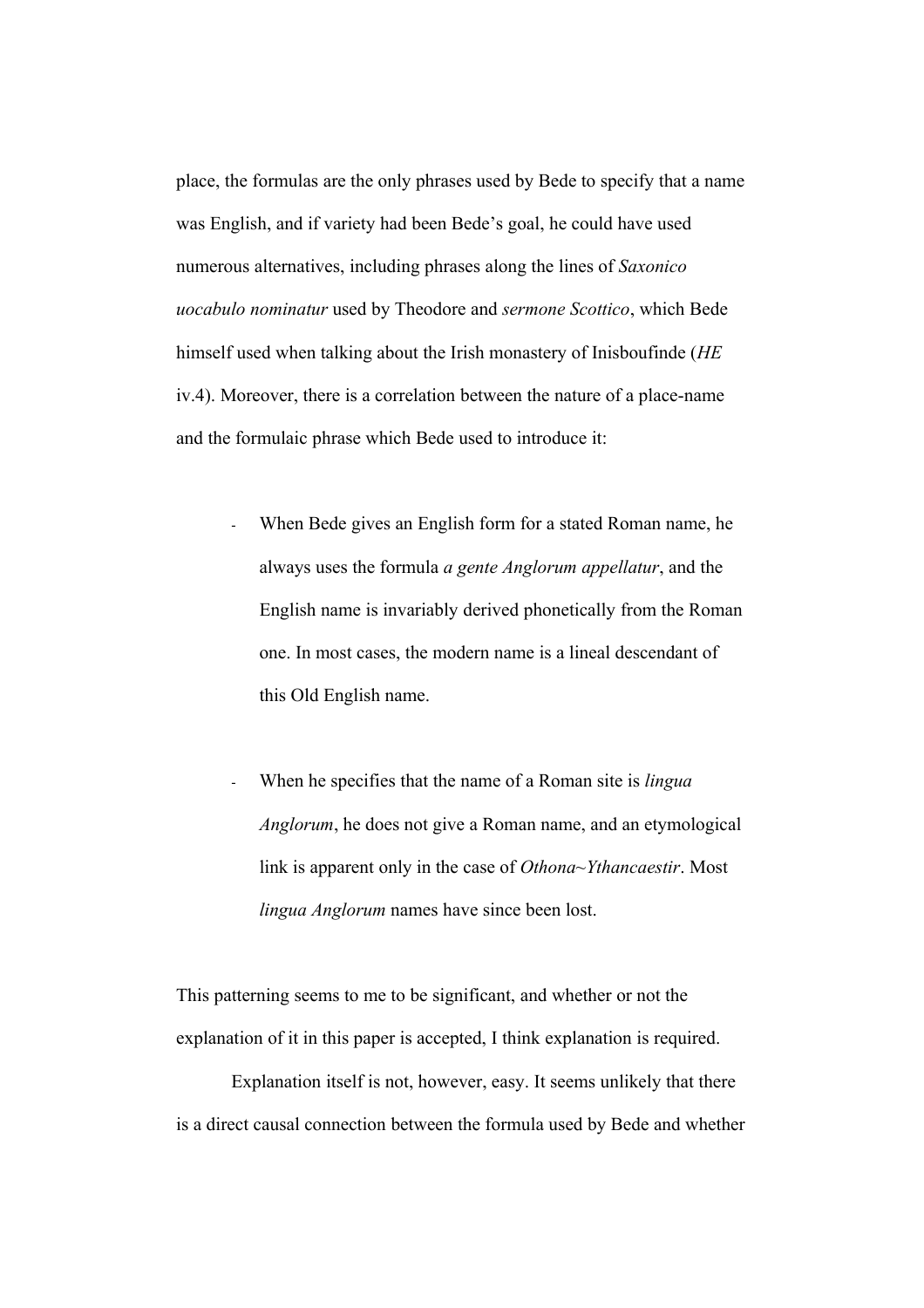place, the formulas are the only phrases used by Bede to specify that a name was English, and if variety had been Bede's goal, he could have used numerous alternatives, including phrases along the lines of *Saxonico uocabulo nominatur* used by Theodore and *sermone Scottico*, which Bede himself used when talking about the Irish monastery of Inisboufinde (*HE* iv.4). Moreover, there is a correlation between the nature of a place-name and the formulaic phrase which Bede used to introduce it:

- When Bede gives an English form for a stated Roman name, he always uses the formula *a gente Anglorum appellatur*, and the English name is invariably derived phonetically from the Roman one. In most cases, the modern name is a lineal descendant of this Old English name.
- When he specifies that the name of a Roman site is *lingua Anglorum*, he does not give a Roman name, and an etymological link is apparent only in the case of *Othona~Ythancaestir*. Most *lingua Anglorum* names have since been lost.

This patterning seems to me to be significant, and whether or not the explanation of it in this paper is accepted, I think explanation is required.

Explanation itself is not, however, easy. It seems unlikely that there is a direct causal connection between the formula used by Bede and whether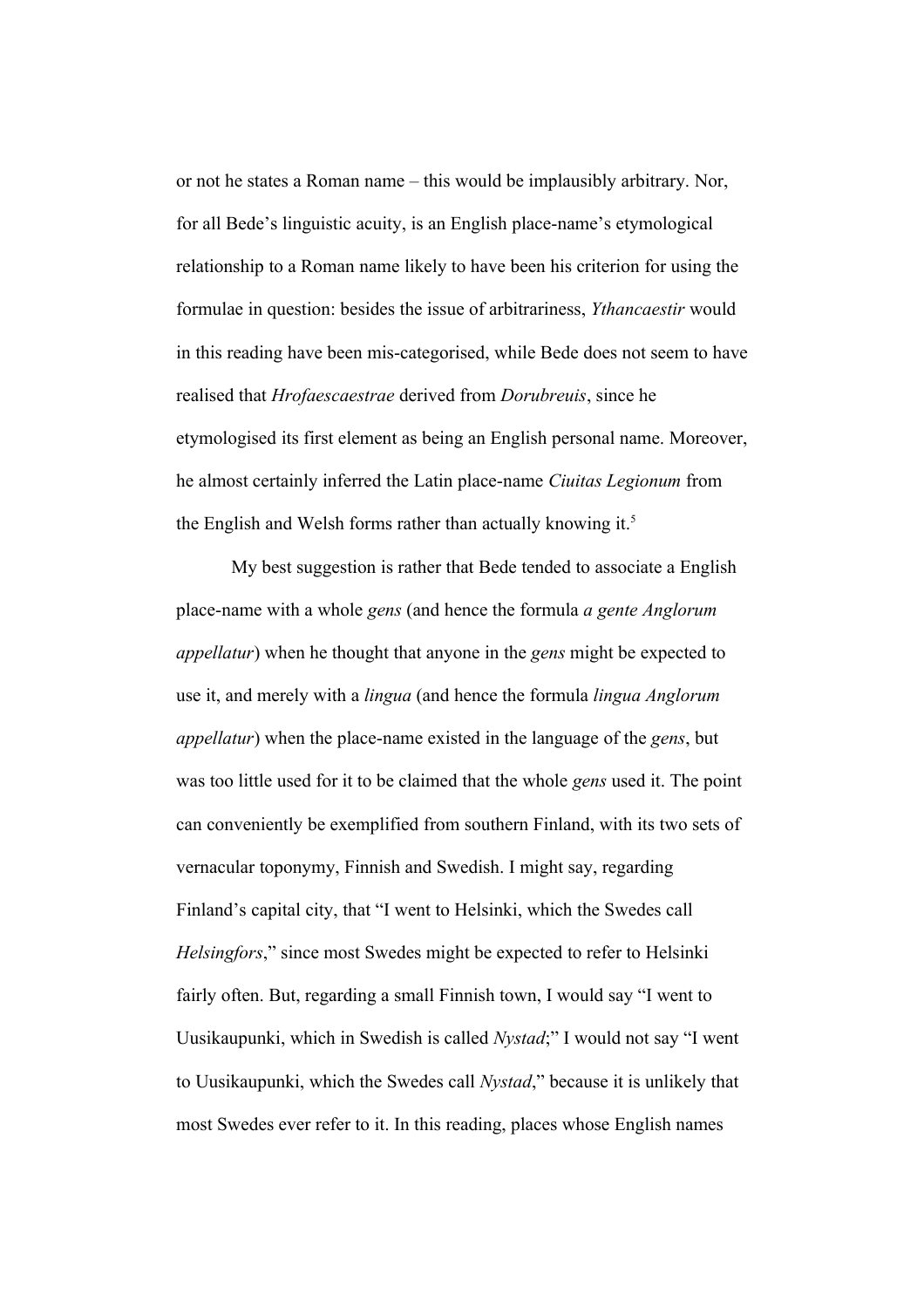or not he states a Roman name – this would be implausibly arbitrary. Nor, for all Bede's linguistic acuity, is an English place-name's etymological relationship to a Roman name likely to have been his criterion for using the formulae in question: besides the issue of arbitrariness, *Ythancaestir* would in this reading have been mis-categorised, while Bede does not seem to have realised that *Hrofaescaestrae* derived from *Dorubreuis*, since he etymologised its first element as being an English personal name. Moreover, he almost certainly inferred the Latin place-name *Ciuitas Legionum* from the English and Welsh forms rather than actually knowing it.<sup>[5](#page-25-4)</sup>

My best suggestion is rather that Bede tended to associate a English place-name with a whole *gens* (and hence the formula *a gente Anglorum appellatur*) when he thought that anyone in the *gens* might be expected to use it, and merely with a *lingua* (and hence the formula *lingua Anglorum appellatur*) when the place-name existed in the language of the *gens*, but was too little used for it to be claimed that the whole *gens* used it. The point can conveniently be exemplified from southern Finland, with its two sets of vernacular toponymy, Finnish and Swedish. I might say, regarding Finland's capital city, that "I went to Helsinki, which the Swedes call *Helsingfors*," since most Swedes might be expected to refer to Helsinki fairly often. But, regarding a small Finnish town, I would say "I went to Uusikaupunki, which in Swedish is called *Nystad*;" I would not say "I went to Uusikaupunki, which the Swedes call *Nystad*," because it is unlikely that most Swedes ever refer to it. In this reading, places whose English names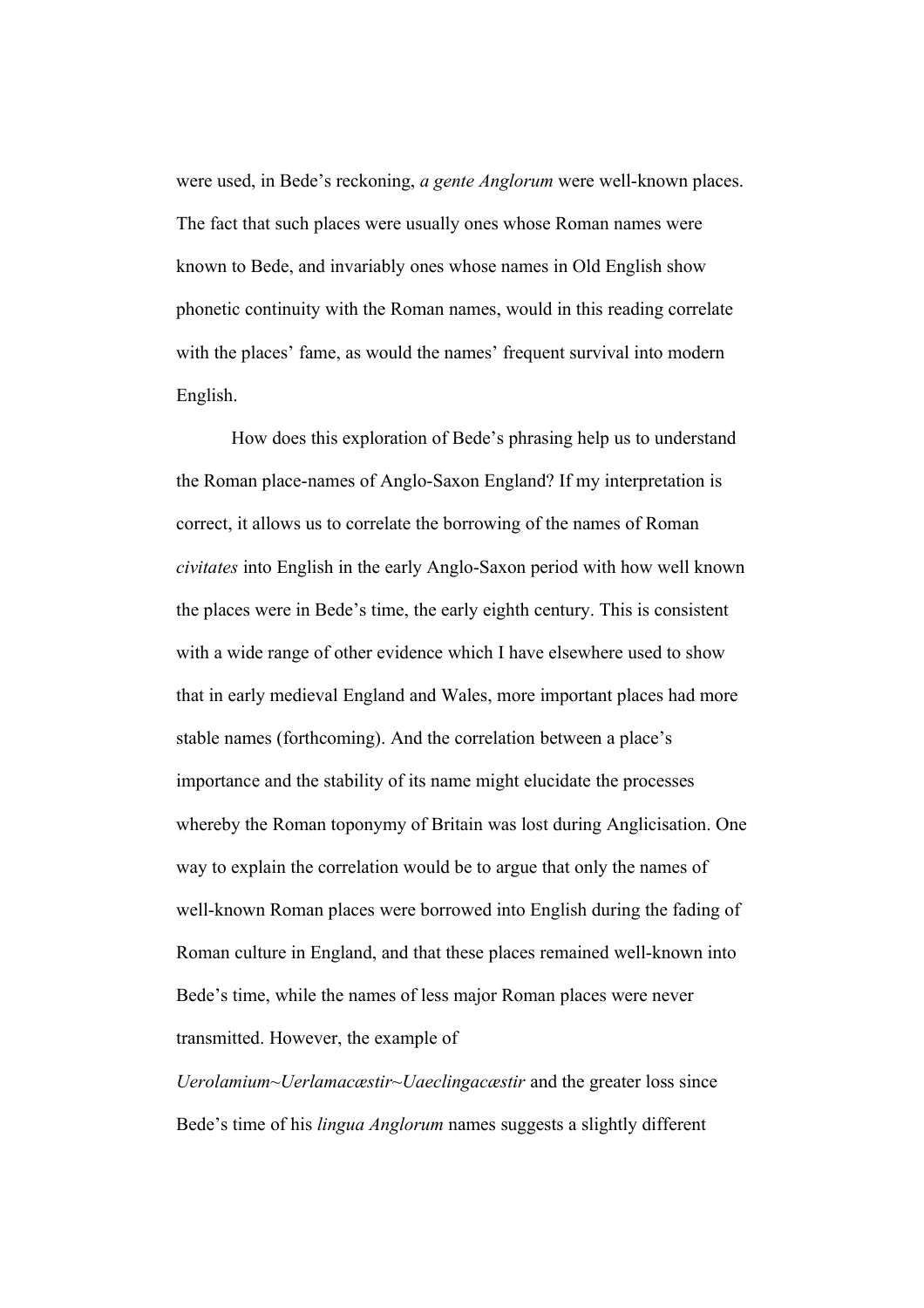were used, in Bede's reckoning, *a gente Anglorum* were well-known places. The fact that such places were usually ones whose Roman names were known to Bede, and invariably ones whose names in Old English show phonetic continuity with the Roman names, would in this reading correlate with the places' fame, as would the names' frequent survival into modern English.

How does this exploration of Bede's phrasing help us to understand the Roman place-names of Anglo-Saxon England? If my interpretation is correct, it allows us to correlate the borrowing of the names of Roman *civitates* into English in the early Anglo-Saxon period with how well known the places were in Bede's time, the early eighth century. This is consistent with a wide range of other evidence which I have elsewhere used to show that in early medieval England and Wales, more important places had more stable names (forthcoming). And the correlation between a place's importance and the stability of its name might elucidate the processes whereby the Roman toponymy of Britain was lost during Anglicisation. One way to explain the correlation would be to argue that only the names of well-known Roman places were borrowed into English during the fading of Roman culture in England, and that these places remained well-known into Bede's time, while the names of less major Roman places were never transmitted. However, the example of

*Uerolamium~Uerlamacæstir~Uaeclingacæstir* and the greater loss since Bede's time of his *lingua Anglorum* names suggests a slightly different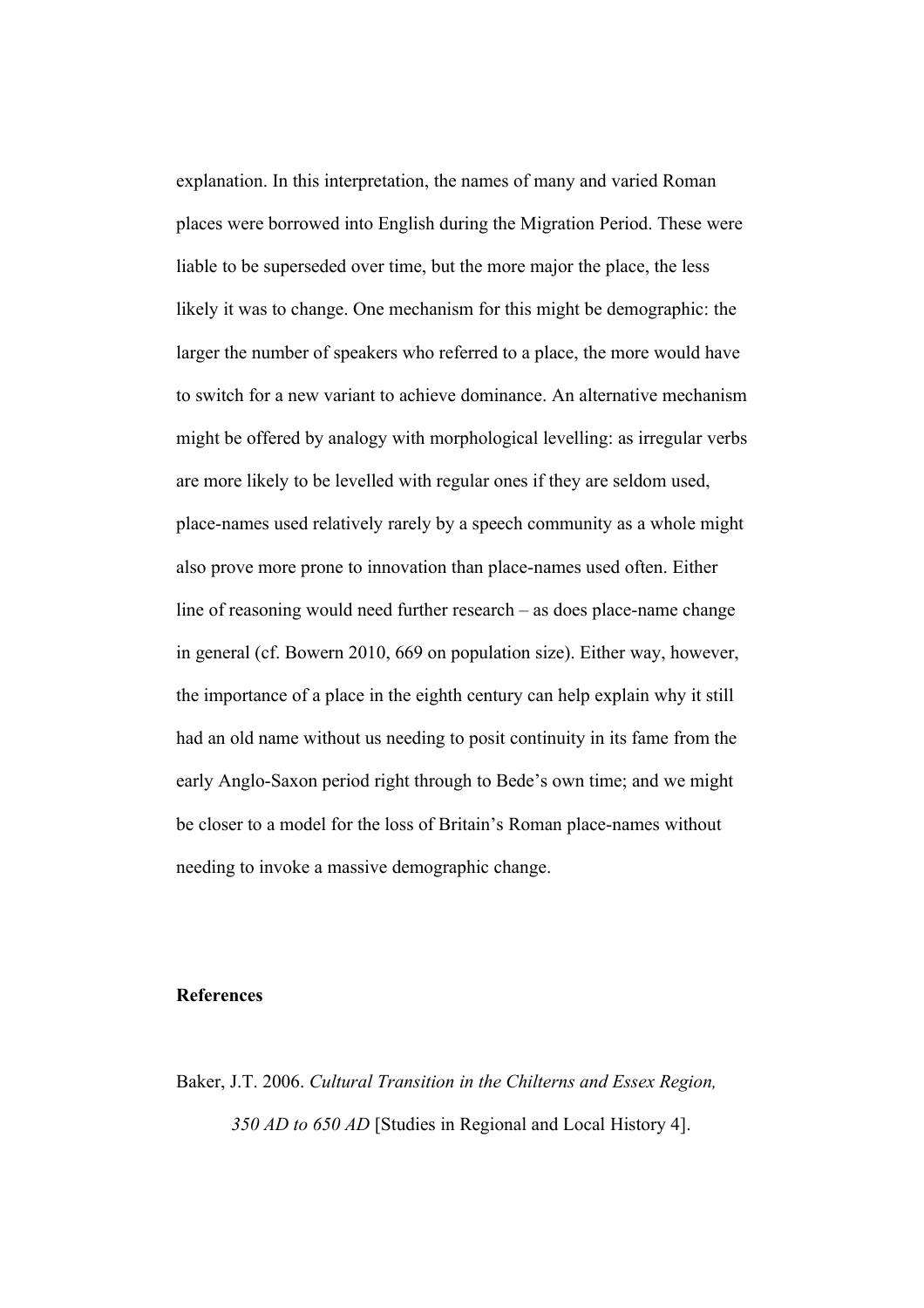explanation. In this interpretation, the names of many and varied Roman places were borrowed into English during the Migration Period. These were liable to be superseded over time, but the more major the place, the less likely it was to change. One mechanism for this might be demographic: the larger the number of speakers who referred to a place, the more would have to switch for a new variant to achieve dominance. An alternative mechanism might be offered by analogy with morphological levelling: as irregular verbs are more likely to be levelled with regular ones if they are seldom used, place-names used relatively rarely by a speech community as a whole might also prove more prone to innovation than place-names used often. Either line of reasoning would need further research – as does place-name change in general (cf. Bowern 2010, 669 on population size). Either way, however, the importance of a place in the eighth century can help explain why it still had an old name without us needing to posit continuity in its fame from the early Anglo-Saxon period right through to Bede's own time; and we might be closer to a model for the loss of Britain's Roman place-names without needing to invoke a massive demographic change.

## **References**

Baker, J.T. 2006. *Cultural Transition in the Chilterns and Essex Region, 350 AD to 650 AD* [Studies in Regional and Local History 4].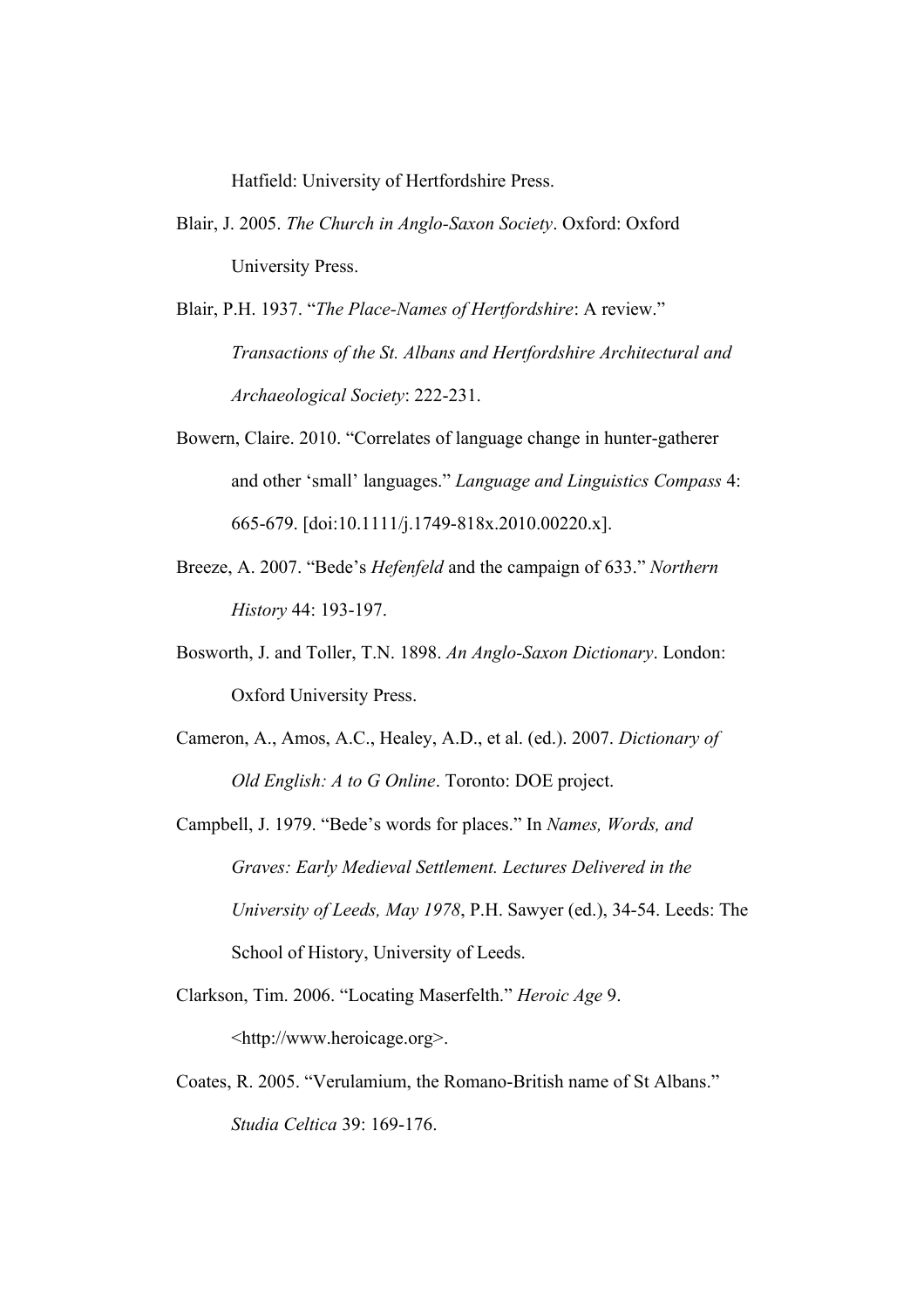Hatfield: University of Hertfordshire Press.

- Blair, J. 2005. *The Church in Anglo-Saxon Society*. Oxford: Oxford University Press.
- Blair, P.H. 1937. "*The Place-Names of Hertfordshire*: A review." *Transactions of the St. Albans and Hertfordshire Architectural and Archaeological Society*: 222-231.
- Bowern, Claire. 2010. "Correlates of language change in hunter-gatherer and other 'small' languages." *Language and Linguistics Compass* 4: 665-679. [doi:10.1111/j.1749-818x.2010.00220.x].
- Breeze, A. 2007. "Bede's *Hefenfeld* and the campaign of 633." *Northern History* 44: 193-197.
- Bosworth, J. and Toller, T.N. 1898. *An Anglo-Saxon Dictionary*. London: Oxford University Press.
- Cameron, A., Amos, A.C., Healey, A.D., et al. (ed.). 2007. *Dictionary of Old English: A to G Online*. Toronto: DOE project.
- Campbell, J. 1979. "Bede's words for places." In *Names, Words, and Graves: Early Medieval Settlement. Lectures Delivered in the University of Leeds, May 1978*, P.H. Sawyer (ed.), 34-54. Leeds: The School of History, University of Leeds.
- Clarkson, Tim. 2006. "Locating Maserfelth." *Heroic Age* 9. <http://www.heroicage.org>.
- Coates, R. 2005. "Verulamium, the Romano-British name of St Albans." *Studia Celtica* 39: 169-176.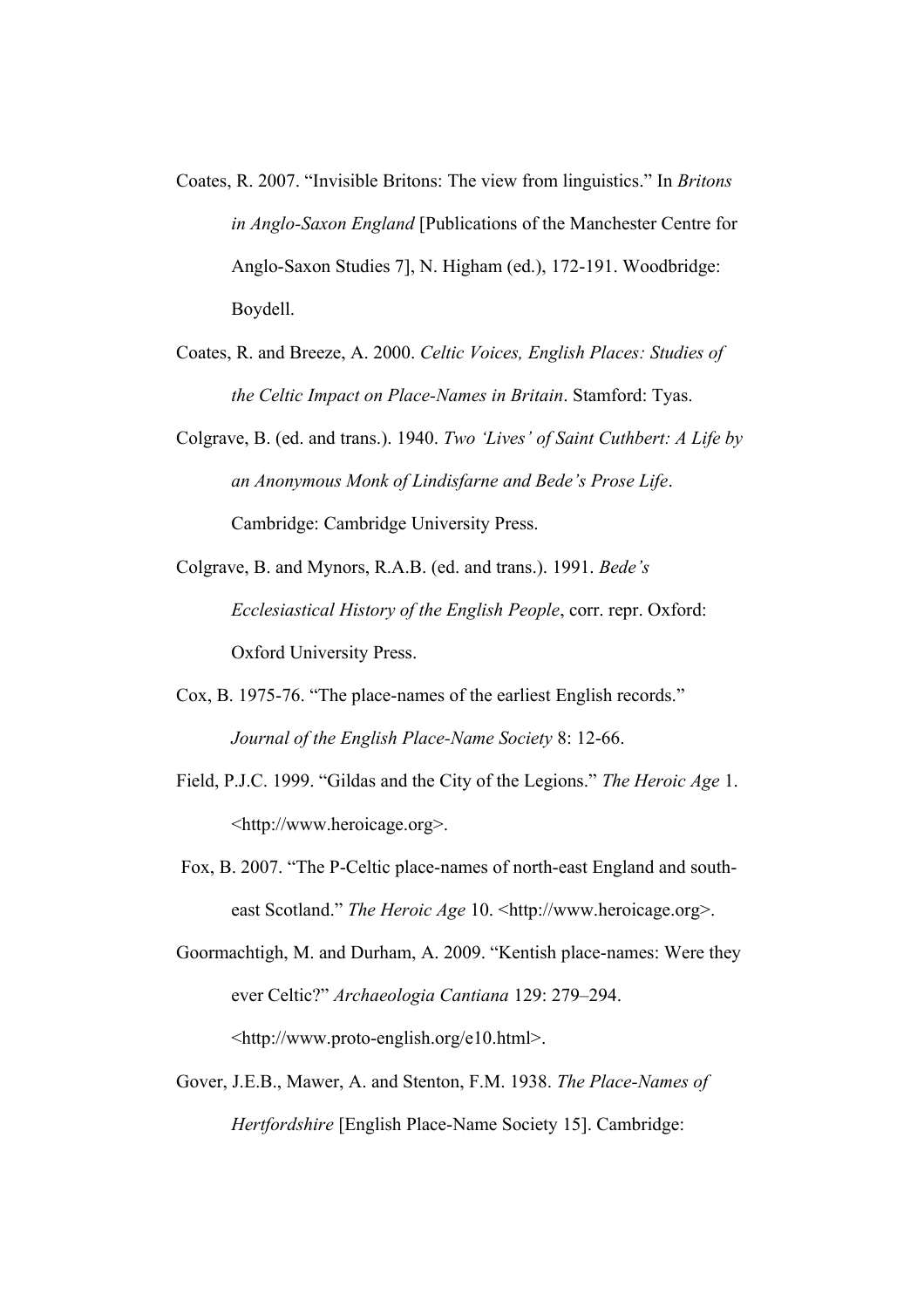- Coates, R. 2007. "Invisible Britons: The view from linguistics." In *Britons in Anglo-Saxon England* [Publications of the Manchester Centre for Anglo-Saxon Studies 7], N. Higham (ed.), 172-191. Woodbridge: Boydell.
- Coates, R. and Breeze, A. 2000. *Celtic Voices, English Places: Studies of the Celtic Impact on Place-Names in Britain*. Stamford: Tyas.
- Colgrave, B. (ed. and trans.). 1940. *Two 'Lives' of Saint Cuthbert: A Life by an Anonymous Monk of Lindisfarne and Bede's Prose Life*. Cambridge: Cambridge University Press.
- Colgrave, B. and Mynors, R.A.B. (ed. and trans.). 1991. *Bede's Ecclesiastical History of the English People*, corr. repr. Oxford: Oxford University Press.
- Cox, B. 1975-76. "The place-names of the earliest English records." *Journal of the English Place-Name Society* 8: 12-66.
- Field, P.J.C. 1999. "Gildas and the City of the Legions." *The Heroic Age* 1. <http://www.heroicage.org>.
- Fox, B. 2007. "The P-Celtic place-names of north-east England and southeast Scotland." *The Heroic Age* 10. <http://www.heroicage.org>.
- Goormachtigh, M. and Durham, A. 2009. "Kentish place-names: Were they ever Celtic?" *Archaeologia Cantiana* 129: 279–294. <http://www.proto-english.org/e10.html>.
- Gover, J.E.B., Mawer, A. and Stenton, F.M. 1938. *The Place-Names of Hertfordshire* [English Place-Name Society 15]. Cambridge: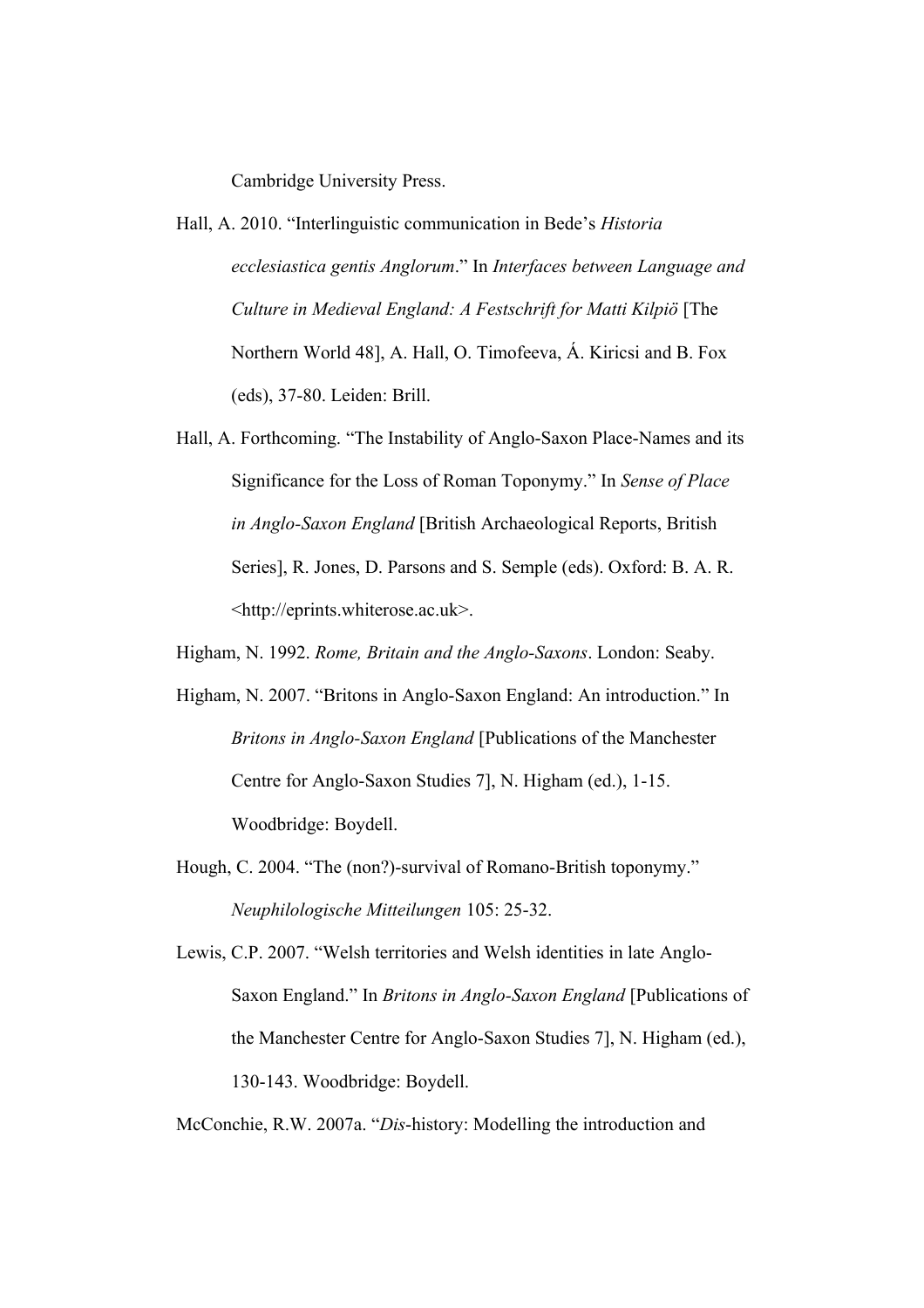Cambridge University Press.

- Hall, A. 2010. "Interlinguistic communication in Bede's *Historia ecclesiastica gentis Anglorum*." In *Interfaces between Language and Culture in Medieval England: A Festschrift for Matti Kilpiö* [The Northern World 48], A. Hall, O. Timofeeva, Á. Kiricsi and B. Fox (eds), 37-80. Leiden: Brill.
- Hall, A. Forthcoming. "The Instability of Anglo-Saxon Place-Names and its Significance for the Loss of Roman Toponymy." In *Sense of Place in Anglo-Saxon England* [British Archaeological Reports, British Series], R. Jones, D. Parsons and S. Semple (eds). Oxford: B. A. R. <http://eprints.whiterose.ac.uk>.

Higham, N. 1992. *Rome, Britain and the Anglo-Saxons*. London: Seaby.

- Higham, N. 2007. "Britons in Anglo-Saxon England: An introduction." In *Britons in Anglo-Saxon England* [Publications of the Manchester Centre for Anglo-Saxon Studies 7], N. Higham (ed.), 1-15. Woodbridge: Boydell.
- Hough, C. 2004. "The (non?)-survival of Romano-British toponymy." *Neuphilologische Mitteilungen* 105: 25-32.

Lewis, C.P. 2007. "Welsh territories and Welsh identities in late Anglo-Saxon England." In *Britons in Anglo-Saxon England* [Publications of the Manchester Centre for Anglo-Saxon Studies 7], N. Higham (ed.), 130-143. Woodbridge: Boydell.

McConchie, R.W. 2007a. "*Dis*-history: Modelling the introduction and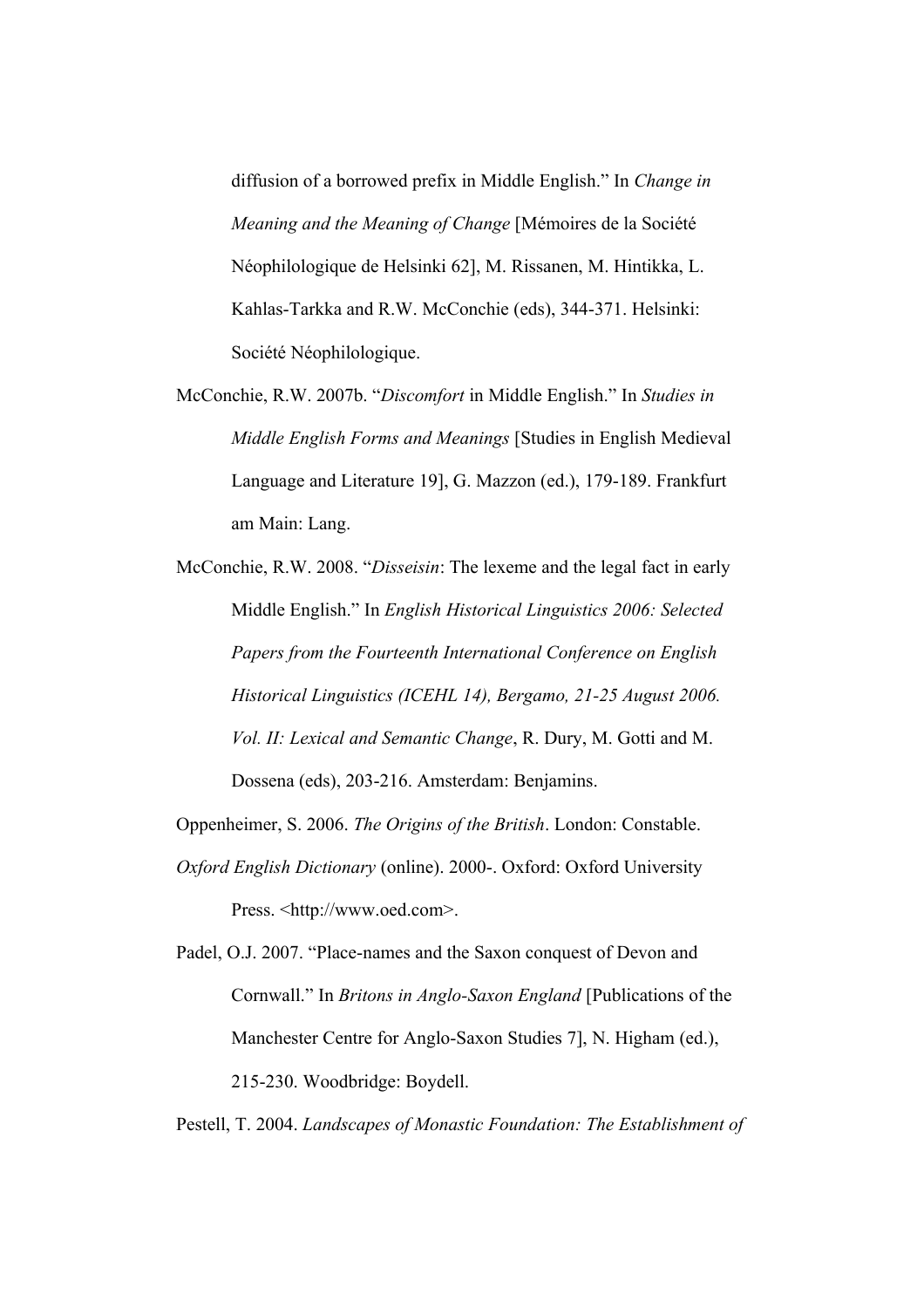diffusion of a borrowed prefix in Middle English." In *Change in Meaning and the Meaning of Change* [Mémoires de la Société Néophilologique de Helsinki 62], M. Rissanen, M. Hintikka, L. Kahlas-Tarkka and R.W. McConchie (eds), 344-371. Helsinki: Société Néophilologique.

- McConchie, R.W. 2007b. "*Discomfort* in Middle English." In *Studies in Middle English Forms and Meanings* [Studies in English Medieval Language and Literature 19], G. Mazzon (ed.), 179-189. Frankfurt am Main: Lang.
- McConchie, R.W. 2008. "*Disseisin*: The lexeme and the legal fact in early Middle English." In *English Historical Linguistics 2006: Selected Papers from the Fourteenth International Conference on English Historical Linguistics (ICEHL 14), Bergamo, 21-25 August 2006. Vol. II: Lexical and Semantic Change*, R. Dury, M. Gotti and M. Dossena (eds), 203-216. Amsterdam: Benjamins.

Oppenheimer, S. 2006. *The Origins of the British*. London: Constable.

*Oxford English Dictionary* (online). 2000-. Oxford: Oxford University Press. <http://www.oed.com>.

Padel, O.J. 2007. "Place-names and the Saxon conquest of Devon and Cornwall." In *Britons in Anglo-Saxon England* [Publications of the Manchester Centre for Anglo-Saxon Studies 7], N. Higham (ed.), 215-230. Woodbridge: Boydell.

Pestell, T. 2004. *Landscapes of Monastic Foundation: The Establishment of*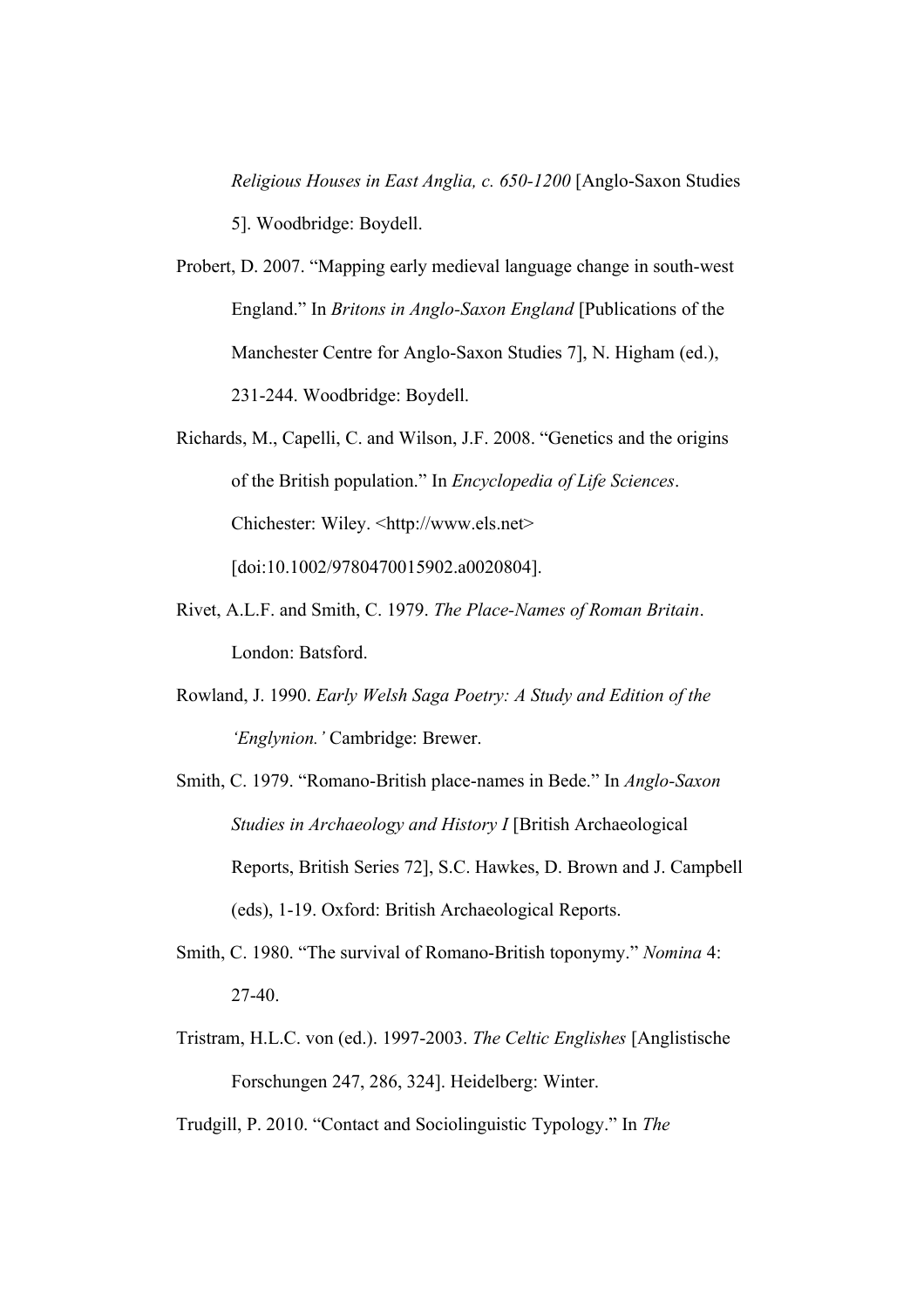*Religious Houses in East Anglia, c. 650-1200* [Anglo-Saxon Studies 5]. Woodbridge: Boydell.

- Probert, D. 2007. "Mapping early medieval language change in south-west England." In *Britons in Anglo-Saxon England* [Publications of the Manchester Centre for Anglo-Saxon Studies 7], N. Higham (ed.), 231-244. Woodbridge: Boydell.
- Richards, M., Capelli, C. and Wilson, J.F. 2008. "Genetics and the origins of the British population." In *Encyclopedia of Life Sciences*. Chichester: Wiley. <http://www.els.net> [doi:10.1002/9780470015902.a0020804].
- Rivet, A.L.F. and Smith, C. 1979. *The Place-Names of Roman Britain*. London: Batsford.
- Rowland, J. 1990. *Early Welsh Saga Poetry: A Study and Edition of the 'Englynion.'* Cambridge: Brewer.
- Smith, C. 1979. "Romano-British place-names in Bede." In *Anglo-Saxon Studies in Archaeology and History I* [British Archaeological Reports, British Series 72], S.C. Hawkes, D. Brown and J. Campbell (eds), 1-19. Oxford: British Archaeological Reports.
- Smith, C. 1980. "The survival of Romano-British toponymy." *Nomina* 4: 27-40.
- Tristram, H.L.C. von (ed.). 1997-2003. *The Celtic Englishes* [Anglistische Forschungen 247, 286, 324]. Heidelberg: Winter.
- Trudgill, P. 2010. "Contact and Sociolinguistic Typology." In *The*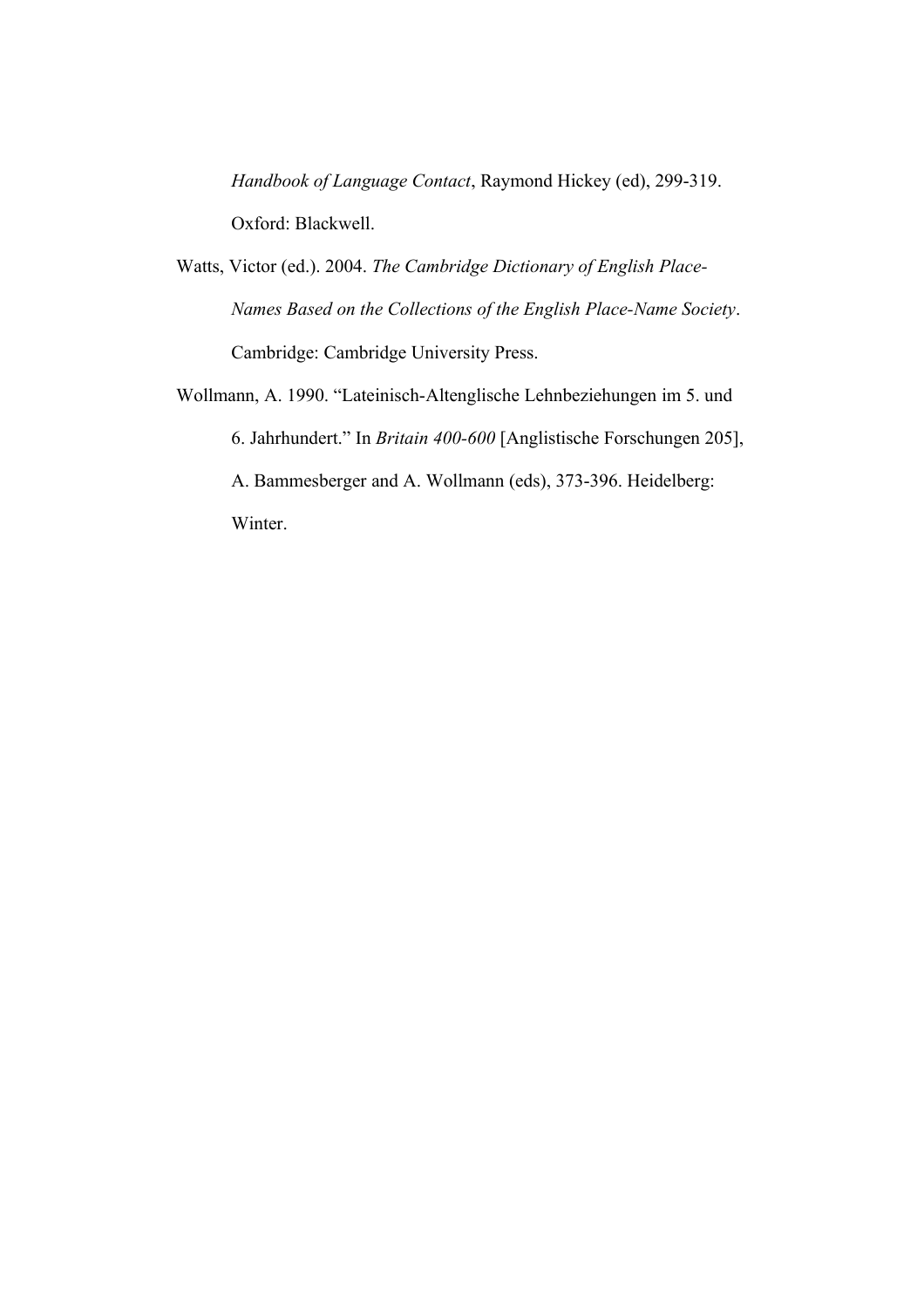*Handbook of Language Contact*, Raymond Hickey (ed), 299-319. Oxford: Blackwell.

- Watts, Victor (ed.). 2004. *The Cambridge Dictionary of English Place-Names Based on the Collections of the English Place-Name Society*. Cambridge: Cambridge University Press.
- Wollmann, A. 1990. "Lateinisch-Altenglische Lehnbeziehungen im 5. und 6. Jahrhundert." In *Britain 400-600* [Anglistische Forschungen 205], A. Bammesberger and A. Wollmann (eds), 373-396. Heidelberg: Winter.